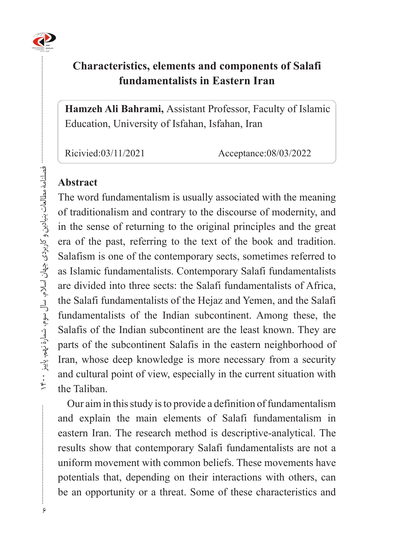# **Characteristics, elements and components of Salafi fundamentalists in Eastern Iran**

Hamzeh Ali Bahrami, Assistant Professor, Faculty of Islamic Education, University of Isfahan, Isfahan, Iran

Ricivied:03/11/2021 Acceptance:08/03/2022

## **Abstract**

The word fundamentalism is usually associated with the meaning of traditionalism and contrary to the discourse of modernity, and in the sense of returning to the original principles and the great era of the past, referring to the text of the book and tradition. Salafism is one of the contemporary sects, sometimes referred to as Islamic fundamentalists. Contemporary Salafi fundamentalists are divided into three sects: the Salafi fundamentalists of Africa, the Salafi fundamentalists of the Hejaz and Yemen, and the Salafi fundamentalists of the Indian subcontinent. Among these, the Salafis of the Indian subcontinent are the least known. They are parts of the subcontinent Salafis in the eastern neighborhood of Iran, whose deep knowledge is more necessary from a security and cultural point of view, especially in the current situation with the Taliban.

Our aim in this study is to provide a definition of fundamentalism and explain the main elements of Salafi fundamentalism in eastern Iran. The research method is descriptive-analytical. The results show that contemporary Salafi fundamentalists are not a uniform movement with common beliefs. These movements have potentials that, depending on their interactions with others, can be an opportunity or a threat. Some of these characteristics and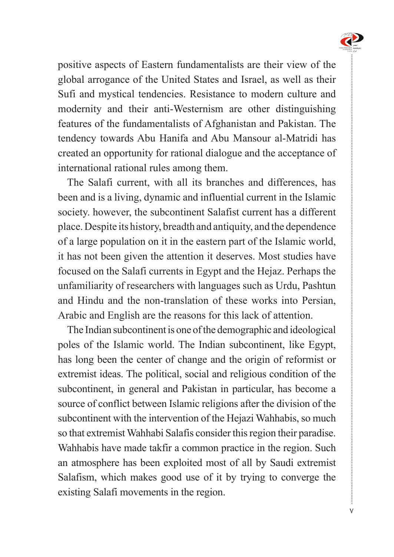

 $\vee$ 

...............

positive aspects of Eastern fundamentalists are their view of the global arrogance of the United States and Israel, as well as their Sufi and mystical tendencies. Resistance to modern culture and modernity and their anti-Westernism are other distinguishing features of the fundamentalists of Afghanistan and Pakistan. The tendency towards Abu Hanifa and Abu Mansour al-Matridi has created an opportunity for rational dialogue and the acceptance of international rational rules among them.

The Salafi current, with all its branches and differences, has been and is a living, dynamic and influential current in the Islamic society. however, the subcontinent Salafist current has a different place. Despite its history, breadth and antiquity, and the dependence of a large population on it in the eastern part of the Islamic world, it has not been given the attention it deserves. Most studies have focused on the Salafi currents in Egypt and the Hejaz. Perhaps the unfamiliarity of researchers with languages such as Urdu, Pashtun and Hindu and the non-translation of these works into Persian, Arabic and English are the reasons for this lack of attention.

The Indian subcontinent is one of the demographic and ideological poles of the Islamic world. The Indian subcontinent, like Egypt, has long been the center of change and the origin of reformist or extremist ideas. The political, social and religious condition of the subcontinent, in general and Pakistan in particular, has become a source of conflict between Islamic religions after the division of the subcontinent with the intervention of the Hejazi Wahhabis, so much so that extremist Wahhabi Salafis consider this region their paradise. Wahhabis have made takfir a common practice in the region. Such an atmosphere has been exploited most of all by Saudi extremist Salafism, which makes good use of it by trying to converge the existing Salafi movements in the region.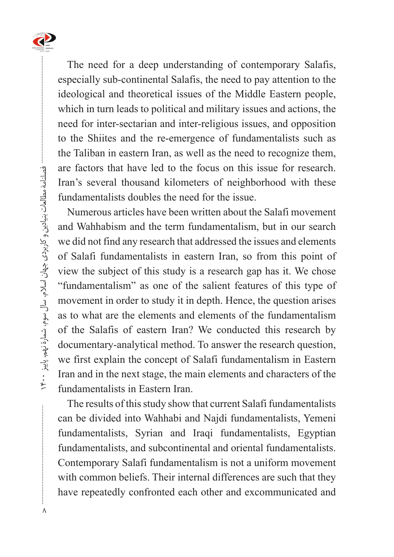

The need for a deep understanding of contemporary Salafis, especially sub-continental Salafis, the need to pay attention to the ideological and theoretical issues of the Middle Eastern people, which in turn leads to political and military issues and actions, the need for inter-sectarian and inter-religious issues, and opposition to the Shiites and the re-emergence of fundamentalists such as the Taliban in eastern Iran, as well as the need to recognize them, are factors that have led to the focus on this issue for research. Iran's several thousand kilometers of neighborhood with these fundamentalists doubles the need for the issue.

Numerous articles have been written about the Salafi movement and Wahhabism and the term fundamentalism, but in our search we did not find any research that addressed the issues and elements of Salafi fundamentalists in eastern Iran, so from this point of view the subject of this study is a research gap has it. We chose "fundamentalism" as one of the salient features of this type of movement in order to study it in depth. Hence, the question arises as to what are the elements and elements of the fundamentalism of the Salafis of eastern Iran? We conducted this research by documentary-analytical method. To answer the research question, we first explain the concept of Salafi fundamentalism in Eastern Iran and in the next stage, the main elements and characters of the fundamentalists in Eastern Iran.

The results of this study show that current Salafi fundamentalists can be divided into Wahhabi and Najdi fundamentalists, Yemeni fundamentalists, Syrian and Iraqi fundamentalists, Egyptian fundamentalists, and subcontinental and oriental fundamentalists. Contemporary Salafi fundamentalism is not a uniform movement with common beliefs. Their internal differences are such that they have repeatedly confronted each other and excommunicated and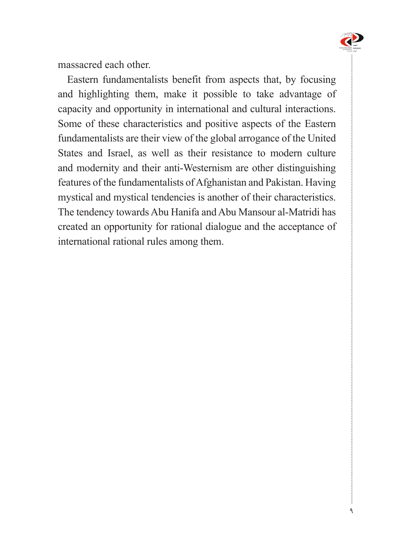

9

........

massacred each other.

Eastern fundamentalists benefit from aspects that, by focusing and highlighting them, make it possible to take advantage of capacity and opportunity in international and cultural interactions. Some of these characteristics and positive aspects of the Eastern fundamentalists are their view of the global arrogance of the United States and Israel, as well as their resistance to modern culture and modernity and their anti-Westernism are other distinguishing features of the fundamentalists of Afghanistan and Pakistan. Having mystical and mystical tendencies is another of their characteristics. The tendency towards Abu Hanifa and Abu Mansour al-Matridi has created an opportunity for rational dialogue and the acceptance of international rational rules among them.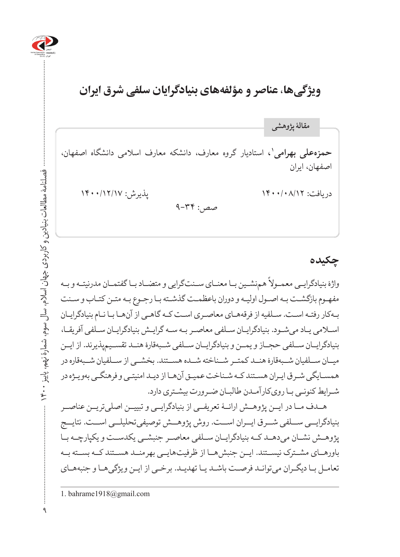

# **ویژگیها، عناصر و مؤلفههای بنیادگرایان سلفی شرق ایران**

**،1** استادیار گروه معارف، دانشکه معارف اسالمی دانشگاه اصفهان، **حمزهعلی بهرامی** اصفهان، ایران دریافت: ۱۴۰۰/۰۸/۱۲ پنجم است. ۱۴۰۰/۰۸/۱۲ پذیرش: ۱۴۰۰/۱۲/۱۷  $9 - YY$ : مصص **مقالۀ پژوهشی**

**چکیده** 

واژۀ بنیادگرایـی معمـولاً هم;شـین بـا معنـای سـنتگرایی و متضـاد بـا گفتمـان مدرنیتـه و بـه مفهـوم بازگشـت بـه اصـول اولیـه و دوران باعظمـت گذشـته بـا رجـوع بـه متـن کتـاب و سـنت بـهکار رفتـه اسـت. سـلفیه از فرقههـای معاصـری اسـت کـه گاهـی از آنهـا بـا نـام بنیادگرایـان اسـامی یـاد میشـود. بنیادگرایـان سـلفی معاصـر بـه سـه گرایـش بنیادگرایـان سـلفی آفریقـا، بنیادگرایــان ســلفی حجــاز و یمــن و بنیادگرایــان ســلفی شــبهقارۀ هنــد تقســیمپذیرند. از ایــن میــان ســلفیان شــبهقارۀ هنــد کمتــر شــناخته شــده هســتند. بخشــی از ســلفیان شــبهقاره در همسـایگی شـرق ایـران هسـتند کـه شـناخت عمیـق آنهـا از دیـد امنیتـی و فرهنگـی بهویـژه در شـرایط کنونـی بـا رویکارآمـدن طالبـان ضـرورت بیشـتری دارد.

هــدف مــا در ایــن پژوهــش ارائــۀ تعریفــی از بنیادگرایــی و تبییــن اصلیتریــن عناصــر بنیادگرایــی ســلفی شــرق ایــران اســت. روش پژوهــش توصیفیتحلیلــی اســت. نتایــج پژوهــش نشــان میدهــد کــه بنیادگرایــان ســلفی معاصــر جنبشــی یکدســت و یکپارچــه بــا باورهــای مشــترک نیســتند. ایــن جنبشهــا از ظرفیتهایــی بهرمنــد هســتند کــه بســته بــه تعامـل بـا دیگـران میتوانـد فرصـت باشـد یـا تهدیـد. برخـی از ایـن ویژگیهـا و جنبههـای

<sup>1.</sup> bahrame  $1918@g$ mail.com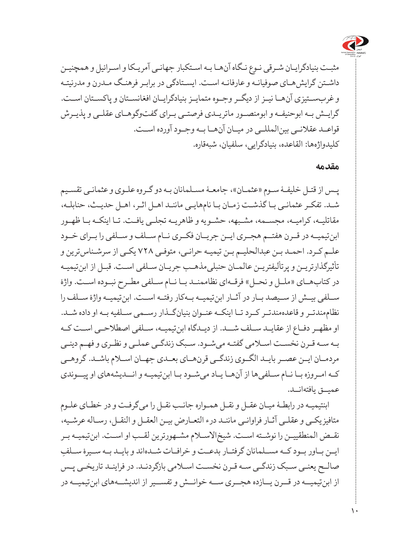

مثبـت بنیادگرایـان شـرقی نـوع نـگاه آنهـا بـه اسـتکبار جهانـی آمریـکا و اسـرائیل و همچنیـن داشـتن گرایشهـای صوفیانـه و عارفانـه اسـت. ایسـتادگی در برابـر فرهنـگ مـدرن و مدرنیتـه و غربســتیزی آنهــا نیــز از دیگــر وجــوه متمایــز بنیادگرایــان افغانســتان و پاکســتان اســت. گرایـش بـه ابوحنیفـه و ابومنصـور ماتریـدی فرصتـی بـرای گفتوگوهـای عقلـی و پذیـرش قواعــد عقالنــی بینالمللــی در میــان آنهــا بــه وجــود آورده اســت. کلیدواژهها: القاعده، بنیادگرایی، سلفیان، شبهقاره.

#### **مقدمه**

پـس از قتـل خلیفـۀ سـوم »عثمـان«، جامعـۀ مسـلمانان بـه دو گـروه علـوی و عثمانـی تقسـیم شـد. تفکـر عثمانـی بـا گذشـت زمـان بـا نامهایـی ماننـد اهـل اثـر، اهـل حدیـث، حنابلـه، مقاتلیـه، کرامیـه، مجسـمه، مشـبهه، حشـویه و ظاهریـه تجلـی یافـت. تـا اینکـه بـا ظهـور ابنتیمیــه در قــرن هفتــم هجــری ایــن جریــان فکــری نــام ســلف و ســلفی را بــرای خــود علـم کـرد. احمـد بـن عبدالحلیـم بـن تیمیـه حرانـی، متوفـی 728 یکـی از سرشـناسترین و تأثیرگذارتریـن و پرتألیفتریـن عالمـان حنبلیمذهـب جریـان سـلفی اسـت. قبـل از ابنتیمیـه در کتابهــای »ملــل و نحــل« فرقــهای نظاممنــد بــا نــام ســلفی مطــرح نبــوده اســت. واژۀ ســلفی بیــش از ســیصد بــار در آثــار ابنتیمیــه بــهکار رفتــه اســت. ابنتیمیــه واژۀ ســلف را نظاممندتــر و قاعدهمندتــر کــرد تــا اینکــه عنــوان بنیانگــذار رســمی ســلفیه بــه او داده شــد. او مظهــر دفــاع از عقایــد ســلف شـــد. از دیــدگاه ابنتیمیــه، ســلفی اصطالحــی اســت کــه بـه سـه قـرن نخسـت اسـامی گفتـه میشـود. سـبک زندگـی عملـی و نظـری و فهـم دینـی مردمــان ایــن عصــر بایــد الگــوی زندگــی قرنهــای بعــدی جهــان اســام باشــد. گروهــی کـه امـروزه بـا نـام سـلفیها از آنهـا یـاد میشـود بـا ابنتیمیـه و انــدیشههای او پیــوندی عمیــق یافتهانــد.

ابنتیمیـه در رابطـۀ میـان عقـل و نقـل همـواره جانـب نقـل را میگرفـت و در خطـای علـوم متافیزیکـی و عقلـی آثـار فراوانـی ماننـد درء التعـارض بیـن العقـل و النقـل، رسـاله عرشـیه، نقـض المنطقییـن را نوشـته اسـت. شیخاالسـام مشـهورترین لقـب او اسـت. ابنتیمیـه بـر ایــن بــاور بــود کــه مســلمانان گرفتــار بدعــت و خرافــات شــده ِ اند و بایــد بــه ســیرۀ ســلف صالـح یعنـی سـبک زندگـی سـه قـرن نخسـت اسـامی بازگردنـد. در فراینـد تاریخـی پـس از ابنتیمیــه در قــرن یــازده هجــری ســه خوانــش و تفســیر از اندیشــههای ابنتیمیــه در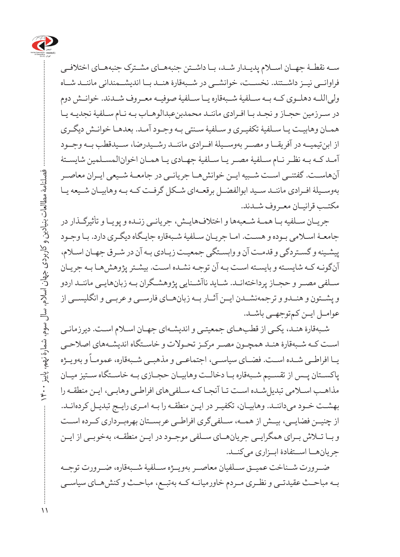

ســه نقطــۀ جهــان اســام پدیــدار شــد، بــا داشــتن جنبههــای مشــترک جنبههــای اختالفــی فراوانــی نیــز داشــتند. نخســت، خوانشــی در شــبهقارۀ هنــد بــا اندیشــمندانی ماننــد شــاه ولیاللــه دهلــوی کــه بــه ســلفیۀ شــبهقاره یــا ســلفیۀ صوفیــه معــروف شــدند. خوانــش دوم در سـرزمین حجـاز و نجـد بـا افـرادی ماننـد محمدبنعبدالوهـاب بـه نـام سـلفیۀ نجدیـه یـا همـان وهابیـت یـا سـلفیۀ تکفیـری و سـلفیۀ سـنتی بـه وجـود آمـد. بعدهـا خوانـش دیگـری از ابنتیمیــه در آفریقــا و مصــر بهوســیلۀ افــرادی ماننــد رشــیدرضا، ســیدقطب بــه وجــود آمـد کـه بـه نظـر نـام سـلفیۀ مصـر یـا سـلفیۀ جهـادی یـا همـان اخوانالمسـلمین شایسـتۀ آنهاســت. گفتنــی اســت شــبیه ایــن خوانشهــا جریانــی در جامعــۀ شــیعی ایــران معاصــر بهوسـیلۀ افـرادی ماننـد سـید ابوالفضـل برقعـهای شـکل گرفـت کـه بـه وهابیـان شـیعه یـا مکتـب قرانیـان معـروف شـدند.

جریـان سـلفیه بـا همـۀ شـعبهها و اختالفهایـش، جریانـی زنـده و پویـا و تأثیرگـذار در جامعـۀ اسـامی بـوده و هسـت. امـا جریـان سـلفیۀ شـبهقاره جایـگاه دیگـری دارد. بـا وجـود پیشـینه و گسـتردگی و قدمـت آن و وابسـتگی جمعیـت زیـادی بـه آن در شـرق جهـان اسـام، آنگونـه کـه شایسـته و بایسـته اسـت بـه آن توجـه نشـده اسـت. بیشـتر پژوهشهـا بـه جریـان سـلفی مصـر و حجـاز پرداختهانـد. شـاید ناآشـنایی پژوهشـگران بـه زبانهایـی ماننـد اردو و پشــتون و هنــدو و ترجمهنشــدن ایــن آثــار بــه زبانهــای فارســی و عربــی و انگلیســی از عوامــل ایـن کمتوجهــی باشــد.

شـبهقارۀ هنـد، یکـی از قطبهـای جمعیتـی و اندیشـهای جهـان اسـام اسـت. دیرزمانـی اسـت کـه شـبهقارۀ هنـد همچـون مصـر مرکـز تحـوالت و خاسـتگاه اندیشـههای اصالحـی ۔<br>یــا افراطــی شــده اســت. فضــای سیاســی، اجتماعــی و مذهبــی شــبهقاره، عمومــاً و بهویــژه پاکســتان پــس از تقســیم شــبهقاره بــا دخالــت وهابیــان حجــازی بــه خاســتگاه ســتیز میــان مذاهـب اسـامی تبدیلشـده اسـت تـا آنجـا کـه سـلفیهای افراطـی وهابـی، ایـن منطقـه را بهشـت خـود میداننـد. وهابیـان، تکفیـر در ایـن منطقـه را بـه امـری رایـج تبدیـل کردهانـد. از چنیــن فضایــی، بیــش از همــه، ســلفیگری افراطــی عربســتان بهرهبــرداری کــرده اســت و بــا تــاش بــرای همگرایــی جریانهــای ســلفی موجــود در ایــن منطقــه، بهخوبــی از ایــن جریانهــا اســتفادۀ ابــزاری میکنــد.

ضــرورت شــناخت عمیــق ســلفیان معاصــر بهویــژه ســلفیۀ شــبهقاره، ضــرورت توجــه بــه مباحــث عقیدتــی و نظــری مــردم خاورمیانــه کــه بهتبــع، مباحــث و کنشهــای سیاســی

 فصلنامۀ مطالعات بنیادین و کاربردی جهان اسالم، سال سوم، شمارۀ نهم، پاییز 1400 فصلنامهٔ مطالعات بنیادین و کاربردی جهان اسلام، سال سوم، شمارهٔ نهم، پاییز  $\Upsilon$ 11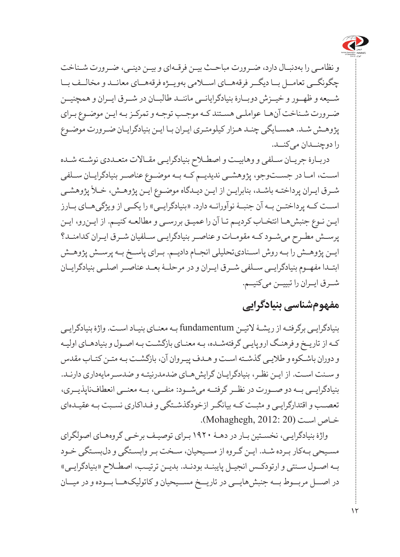

و نظامـی را بهدنبـال دارد، ضـرورت مباحـث بیـن فرقـهای و بیـن دینـی، ضـرورت شـناخت چگونگــی تعامــل بــا دیگــر فرقههــای اســامی بهویــژه فرقههــای معانــد و مخالــف بــا شــیعه و ظهــور و خیــزش دوبــارۀ بنیادگرایانــی ماننــد طالبــان در شــرق ایــران و همچنیــن ضـرورت شـناخت آنهـا عواملـی هسـتند کـه موجـب توجـه و تمرکـز بـه ایـن موضـوع بـرای پژوهـش شـد. همسـایگی چنـد هـزار کیلومتـری ایـران بـا ایـن بنیادگرایـان ضـرورت موضـوع را دوچنــدان میکنــد.

دربـارۀ جریـان سـلفی و وهابیـت و اصطـاح بنیادگرایـی مقـاالت متعـددی نوشـته شـده اســت، امــا در جســتوجو، پژوهشــی ندیدیــم کــه بــه موضــوع عناصــر بنیادگرایــان ســلفی شـرق ایـران پرداختـه باشـد، بنابرایـن از ایـن دیـدگاه موضـوع ایـن پژوهـش، خـأ پژوهشـی اسـت کــه پرداختــن بــه آن جنبــۀ نوآورانــه دارد. «بنیادگرایــی» را یکــی از ویژگی هــای بــارز ایـن نـوع جنبشهـا انتخـاب کردیـم تـا آن را عمیـق بررسـی و مطالعـه کنیـم. از ایـنرو، ایـن پرسـش مطـرح میشـود کـه مقومـات و عناصـر بنیادگرایـی سـلفیان شـرق ایـران کدامنـد؟ ایــن پژوهــش را بــه روش اســنادیتحلیلی انجــام دادیــم. بــرای پاســخ بــه پرســش پژوهــش ابتــدا مفهــوم بنیادگرایــی ســلفی شــرق ایــران و در مرحلــۀ بعــد عناصــر اصلــی بنیادگرایــان شــرق ایــران را تبییــن میکنیــم.

## **مفهومشناسی بنیادگرایی**

بنیادگرایـی برگرفتـه از ریشـۀ التیـن fundamentum بـه معنـای بنیـاد اسـت. واژۀ بنیادگرایـی كـه از تاریـخ و فرهنـگ اروپایـی گرفتهشـده، بـه معنـای بازگشـت بـه اصـول و بنیادهـای اولیـه و دوران باشـكوه و طالیـی گذشـته اسـت و هـدف پیـروان آن، بازگشـت بـه متـن كتـاب مقدس و سـنت اسـت. از ایـن نظـر، بنیادگرایـان گرایشهـای ضدمدرنیتـه و ضدسـرمایهداری دارنـد. بنیادگرایــی بــه دو صــورت در نظــر گرفتــه میشــود: منفــی، بــه معنــی انعطافناپذیــری، تعصـب و اقتدارگرایـی و مثبـت كـه بیانگـر ازخودگذشـتگی و فـداكاری نسـبت بـه عقیـدهای خـاص اسـت (20 2012: ,Mohaghegh).

 واژۀ بنیادگرایـی، نخسـتین بـار در دهـۀ 1920 بـرای توصیـف برخـی گروههـای اصولگرای مسـیحی بـهکار بـرده شـد. ایـن گـروه از مسـیحیان، سـخت بـر وابسـتگی و دلبسـتگی خـود بـه اصـول سـنتی و ارتودکـس انجیـل پایبنـد بودنـد. بدیـن ترتیـب، اصطـاح »بنیادگرایـی« در اصــل مربــوط بــه جنبشهایــی در تاریــخ مســیحیان و کاتولیکهــا بــوده و در میــان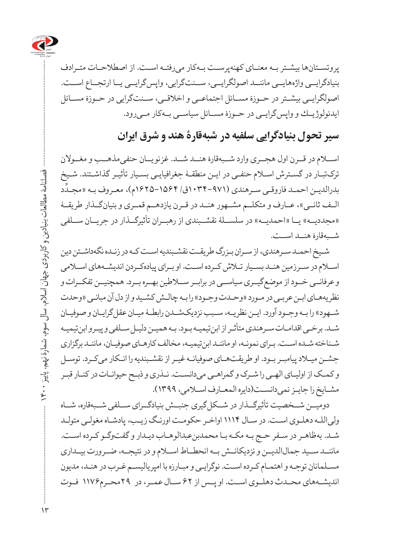

پروتسـتانها بیشـتر بـه معنـای کهنهپرسـت بـهكار میرفتـه اسـت. از اصطالحـات متـرادف بنیادگرایــی واژههایــی ماننــد اصولگرایــی، ســنتگرایی، واپسگرایــی یــا ارتجــاع اســت. اصولگرایــی بیشــتر در حــوزۀ مســائل اجتماعــی و اخالقــی، ســنتگرایی در حــوزۀ مســائل ایدئولوژیــك و واپسگرایــی در حــوزۀ مســائل سیاســی بــهكار مــیرود.

# **سیر تحول بنیادگرایی سلفیه در شبهقارۀ هند و شرق ایران**

اســام در قــرن اول هجــری وارد شــبهقارۀ هنــد شــد. غزنویــان حنفیمذهــب و مغــوالن ترکتبـار در گسـترش اسـام حنفـی در ایـن منطقـۀ جغرافیایـی بسـیار تأثیـر گذاشـتند. شـیخ ِّبدرالدیـن احمـد فاروقـي سـرهندي (۹۷۱-۱۰۳۴ق/ ۱۵۶۴-۱۶۲۵م)، معـروف بـه «مجـدَد الــف ثانــي»، عــارف و متکلــم مشــهور هنــد در قــرن یازدهــم قمــری و بنیانگــذار طریقــۀ «مجددیــه» یــا «احمدیــه» در سلســلۀ نقشــبندی از رهبــران تأثیرگــذار در جریــان ســلفی شــبهقارۀ هنــد اســت.

شـیخ احمـد سـرهندی، از سـران بـزرگ طریقـت نقشـبندیه اسـت کـه در زنـده نگهداشـتن دین اسـام در سـرزمین هنـد بسـیار تـاش کـرده اسـت. او بـرای پیادهکـردن اندیشـههای اسـامی و عرفانــی خــود از موضعگیــری سیاســی در برابــر ســاطین بهــره بــرد. همچنیــن تفکــرات و نظریههـای ابـن عربـی در مـورد »وحـدت وجـود« را بـه چالـش کشـید و از دل آن مبانـی »وحدت شـهود» را بـه وجـود آورد. ایــن نظریـه، سـبب نزدیکشــدن رابطـۀ میـان عقل گرایــان و صوفیــان شـد. برخـی اقدامـات سـرهندی متأثـر از ابنتیمیـه بـود. بـه همیـن دلیـل سـلفی و پیـرو ابنتیمیـه شـناخته شـده اسـت. بـرای نمونـه، او ماننـد ابنتیمیـه، مخالف کارهـای صوفیـان، ماننـد برگزاری جشـن میـاد پیامبـر بـود. او طریقتهـای صوفیانـه غیـر از نقشـبندیه را انـکار میکـرد. توسـل و کمـک از اولیـای الهـی را شـرک و گمراهـی میدانسـت. نـذری و ذبـح حیوانـات در کنـار قبـر مشـایخ را جایـز نمی دانسـت(دایره المعـارف اســلامی، ۱۳۹۹).

دومیــن شــخصیت تأثیرگــذار در شــکلگیری جنبــش بنیادگــرای ســلفی شــبهقاره، شــاه ولیاللـه دهلـوی اسـت. در سـال 1114 اواخـر حکومـت اورنـگ زیـب، پادشـاه مغولـی متولـد شـد. بهظاهـر در سـفر حـج بـه مکـه بـا محمدبنعبدالوهـاب دیـدار و گفتوگـو کـرده اسـت. ماننــد ســید جمالالدیــن و نزدیکانــش بــه انحطــاط اســام و در نتیجــه، ضــرورت بیــداری مسـلمانان توجـه و اهتمـام کـرده اسـت. نوگرایـی و مبـارزه با امپریالیسـم غـرب در هنـد، مدیون اندیشــههای محــدث دهلــوی اســت. او پــس از ۶۲ ســال عمــر، در ۲۹محــرم۱۱۷۶ فــوت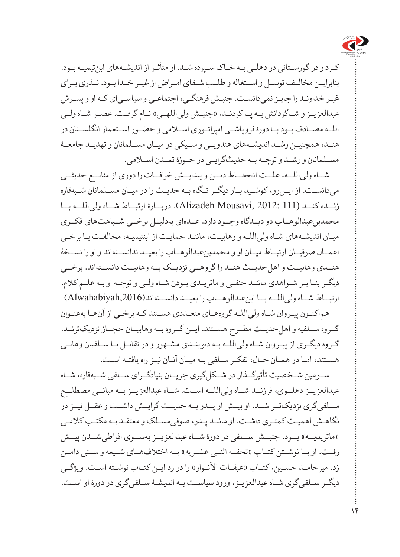

کـرد و در گورسـتانی در دهلـی بـه خـاک سـپرده شـد. او متأثـر از اندیشـههای ابنتیمیـه بـود. بنابرایـن مخالـف توسـل و اسـتغاثه و طلـب شـفای امـراض از غیـر خـدا بـود. نـذری بـرای غیـر خداونـد را جایـز نمیدانسـت. جنبـش فرهنگـی، اجتماعـی و سیاسـیای کـه او و پسـرش عبدالعزیـز و شــاگردانش بـه پــا کردنــد، «جنبــش ولی اللهــی» نــام گرفــت. عصــر شــاه ولــی اللــه مصــادف بــود بــا دورۀ فروپاشــی امپراتــوری اســامی و حضــور اســتعمار انگلســتان در هنــد، همچنیــن رشــد اندیشــههای هندویــی و ســیکی در میــان مســلمانان و تهدیــد جامعــۀ مسـلمانان و رشـد و توجـه بـه حدیثگرایـی در حـوزۀ تمــدن اسـامی.

شــاه ولیاللــه، علــت انحطــاط دیــن و پیدایــش خرافــات را دوری از منابــع حدیثــی میدانســت. از ایــنرو، کوشــید بــار دیگــر نــگاه بــه حدیــث را در میــان مســلمانان شــبهقاره زنــده کنــد (111 2012: ,Mousavi Alizadeh). دربــارۀ ارتبــاط شــاه ولیاللــه بــا محمدبنعبدالوهــاب دو دیــدگاه وجــود دارد. عــدهای بهدلیــل برخــی شــباهتهای فکــری میـان اندیشـههای شـاه ولیاللـه و وهابیـت، ماننـد حمایـت از ابنتیمیـه، مخالفـت بـا برخـی اعمــال صوفیــان ارتبــاط میــان او و محمدبنعبدالوهــاب را بعیــد ندانســتهاند و او را نســخۀ هنــدی وهابیــت و اهلحدیــث هنــد را گروهــی نزدیــک بــه وهابیــت دانســتهاند. برخــی دیگـر بنـا بـر شـواهدی ماننـد حنفـی و ماتریـدی بـودن شـاه ولـی و توجـه او بـه علـم کالم، ارتبــاط شــاه ولیاللــه بــا ابنعبدالوهــاب را بعیــد دانســتهاند),2016Alwahabiyah)

هماکنـون پیـروان شـاه ولیاللـه گروههـای متعـددی هسـتند کـه برخـی از آنهـا بهعنـوان گــروه ســلفیه و اهلحدیــث مطــرح هســتند. ایــن گــروه بــه وهابیــان حجــاز نزدیکترنــد. گـروه دیگـری از پیـروان شـاه ولیاللـه بـه دیوبنـدی مشـهور و در تقابـل بـا سـلفیان وهابـی هسـتند، امـا در همـان حـال، تفکـر سـلفی بـه میـان آنـان نیـز راه یافتـه اسـت.

ســومین شــخصیت تأثیرگــذار در شــکلگیری جریــان بنیادگــرای ســلفی شــبهقاره، شــاه عبدالعزیــز دهلــوی، فرزنــد شــاه ولیاللــه اســت. شــاه عبدالعزیــز بــه مبانــی مصطلــح ســلفیگری نزدیکتــر شــد. او بیــش از پــدر بــه حدیــث گرایــش داشــت و عقــل نیــز در نگاهـش اهمیـت کمتـری داشـت. او ماننـد پـدر، صوفیمسـلک و معتقـد بـه مکتـب کالمـی «ماتریدیــه» بــود. جنبــش ســلفی در دورۀ شــاه عبدالعزیــز بهســوی افراطی شــدن پیــش رفــت. او بــا نوشــتن کتــاب «تحفــه اثنــی عشــریه» بــه اختلافهــای شــیعه و ســنی دامــن زد. میرحامـد حسـین، کتـاب »عبقـات األنـوار« را در رد ایـن کتـاب نوشـته اسـت. ویژگـی دیگـر سـلفیگری شـاه عبدالعزیـز، ورود سیاسـت بـه اندیشـۀ سـلفیگری در دورۀ او اسـت.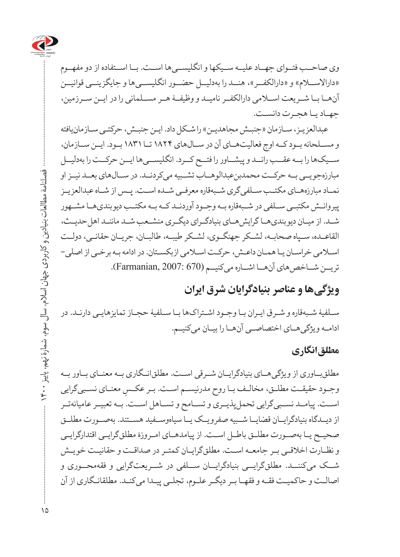

وی صاحــب فتــوای جهــاد علیــه ســیکها و انگلیســیها اســت. بــا اســتفاده از دو مفهــوم «دارالاســلام» و «دارالکفــر»، هنــد را بهدلیــل حضــور انگلیســی ها و جایگزینــی قوانیــن آنهــا بــا شــریعت اســامی دارالکفــر نامیــد و وظیفــۀ هــر مســلمانی را در ایــن ســرزمین، جهــاد یــا هجــرت دانســت.

 عبدالعزیـز، سـازمان »جنبـش مجاهدیـن« را شـکل داد. ایـن جنبـش، حرکتـی سـازمانیافته و مســلحانه بــود کــه اوج فعالیتهــای آن در ســالهای 1824 تــا 1831 بــود. ایــن ســازمان، ســیکها را بــه عقــب رانــد و پیشــاور را فتــح کــرد. انگلیســیها ایــن حرکــت را بهدلیــل مبارزهجویــی بــه حرکــت محمدبنعبدالوهــاب تشــبیه میکردنــد. در ســالهای بعــد نیــز او نمــاد مبارزههــای مکتــب ســلفیگری شــبهقاره معرفــی شــده اســت. پــس از شــاه عبدالعزیــز پیروانــش مکتبــی ســلفی در شــبهقاره بــه وجــود آوردنــد کــه بــه مکتــب دیوبندیهــا مشــهور شـد. از میـان دیوبندیهـا گرایشهـای بنیادگـرای دیگـری منشـعب شـد ماننـد اهلحدیـث، القاعــده، ســپاه صحابــه، لشــکر جهنگــوی، لشــکر طیبــه، طالبــان، جریــان حقانــی، دولــت اسـامی خراسـان یـا همـان داعـش، حرکـت اسـامی ازبکسـتان. در ادامه بـه برخـی از اصلی تریــن شــاخصهای آنهــا اشــاره میکنیــم (670 2007: ,Farmanian).

## **ویژگیها و عناصر بنیادگرایان شرق ایران**

سـلفیۀ شـبهقاره و شـرق ایـران بـا وجـود اشـتراکها بـا سـلفیۀ حجـاز تمایزهایـی دارنـد. در ادامــه ویژگیهــای اختصاصــی آنهــا را بیــان میکنیــم.

### **مطلقانگاری**

مطلقبــاوری از ویژگیهــای بنیادگرایــان شــرقی اســت. مطلقانــگاری بــه معنــای بــاور بــه وجــود حقیقــت مطلــق، مخالــف بــا روح مدرنیســم اســت. بــر عکــسِ معنــای نســبیگرایی<br>. اســت. پیامــد نســبیگرایی تحملپذیــری و تســامح و تســاهل اســت. بــه تعبیــر عامیانهتــر از دیــدگاه بنیادگرایــان قضایــا شــبیه صفرویــک یــا سیاهوســفید هســتند. بهصــورت مطلــق صحیــح یــا بهصــورت مطلــق باطــل اســت. از پیامدهــای امــروزۀ مطلقگرایــی اقتدارگرایــی و نظـارت اخالقـی بـر جامعـه اسـت. مطلقگرایـان کمتـر در صداقـت و حقانیـت خویـش شــک میکننــد. مطلقگرایــی بنیادگرایــان ســلفی در شــریعتگرایی و فقهمحــوری و اصالـت و حاکمیـت فقـه و فقهـا بـر دیگـر علـوم، تجلـی پیـدا میکنـد. مطلقانـگاری از آن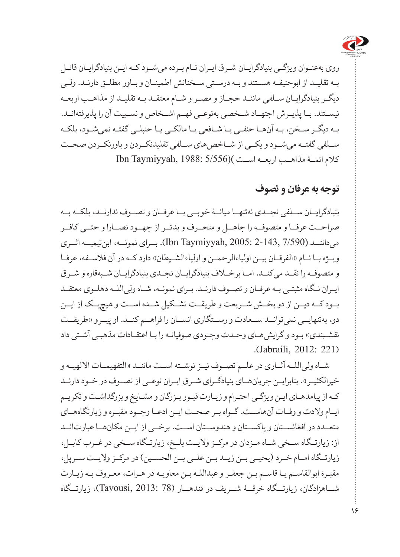

روی بهعنـوان ویژگـی بنیادگرایـان شـرق ایـران نـام بـرده میشـود کـه ایـن بنیادگرایـان قائـل بـه تقلیـد از ابوحنیفـه هسـتند و بـه درسـتی سـخنانش اطمینـان و بـاور مطلـق دارنـد. ولـی دیگـر بنیادگرایـان سـلفی ماننـد حجـاز و مصـر و شـام معتقـد بـه تقلیـد از مذاهـب اربعـه نیســتند. بــا پذیــرش اجتهــاد شــخصی بهنوعــی فهــم اشــخاص و نســبیت آن را پذیرفتهانــد. بـه دیگـر سـخن، بـه آنهـا حنفـی یـا شـافعی یـا مالکـی یـا حنبلـی گفتـه نمیشـود، بلکـه ســلفی گفتــه میشــود و یکــی از شــاخصهای ســلفی تقلیدنکــردن و باورنکــردن صحــت کالم ائمــۀ مذاهــب اربعــه اســت )(5/556 1988: ,Taymiyyah Ibn

## **توجه به عرفان و تصوف**

بنیادگرایــان ســلفی نجــدی نهتنهــا میانــۀ خوبــی بــا عرفــان و تصــوف ندارنــد، بلکــه بــه صراحــت عرفــا و متصوفــه را جاهــل و منحــرف و بدتــر از جهــود نصــارا و حتــی کافــر میداننــد (7/590 2-143, 2005: ,Taymiyyah Ibn). بــرای نمونــه، ابنتیمیــه اثــری ویــژه بــا نــام »الفرقــان بیــن اولیاءالرحمــن و اولیاءالشــیطان« دارد کــه در آن فالســفه، عرفــا و متصوفــه را نقــد میکنــد. امــا برخــاف بنیادگرایــان نجــدی بنیادگرایــان شــبهقاره و شــرق ایـران نـگاه مثبتـی بـه عرفـان و تصـوف دارنـد. بـرای نمونـه، شـاه ولیاللـه دهلـوی معتقـد بــود کــه دیــن از دو بخــش شــریعت و طریقــت تشــکیل شــده اســت و هیچیــک از ایــن دو، بهتنهایــی نمیتوانــد ســعادت و رســتگاری انســان را فراهــم کنــد. او پیــرو »طریقــت نقشـبندی» بـود و گرایش هـای وحـدت وجـودی صوفیانـه را بـا اعتقـادات مذهبـی آشـتی داد (Jabraili, 2012: 221).

شــاه ولیاللــه آثــاری در علــم تصــوف نیــز نوشــته اســت ماننــد »التفهیمــات االلهیــه و خیرالکثیـر». بنابرایـن جریانهـای بنیادگـرای شـرق ایـران نوعـی از تصـوف در خـود دارنـد کـه از پیامدهـای ایـن ویژگـی احتـرام و زیـارت قبـور بـزرگان و مشـایخ و بزرگداشـت و تکریـم ایــام والدت و وفــات آنهاســت. گــواه بــر صحــت ایــن ادعــا وجــود مقبــره و زیارتگاههــای متعــدد در افغانســتان و پاکســتان و هندوســتان اســت. برخــی از ایــن مکانهــا عبارتانــد از: زیارتــگاه ســخی شــاه مــزدان در مرکــز والیــت بلــخ، زیارتــگاه ســخی در غــرب کابــل، زیارتــگاه امــام خــرد )یحیــی بــن زیــد بــن علــی بــن الحســین( در مرکــز والیــت ســرپل، مقبـرۀ ابوالقاسـم یـا قاسـم بـن جعفـر و عبداللـه بـن معاویـه در هـرات، معـروف بـه زیـارت شــاهزادگان، زیارتــگاه خرقــۀ شــریف در قندهــار )78 2013: ,Tavousi)، زیارتــگاه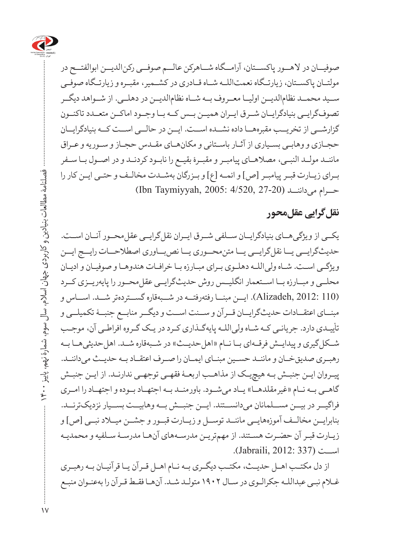

صوفیــان در الهــور پاکســتان، آرامــگاه شــاهرکن عالــم صوفــی رکنالدیــن ابوالفتــح در مولتــان پاکســتان، زیارتــگاه نعمتاللــه شــاه قــادری در کشــمیر، مقبــره و زیارتــگاه صوفــی ســید محمــد نظامالدیــن اولیــا معــروف بــه شــاه نظامالدیــن در دهلــی. از شــواهد دیگــر تصوفگرایــی بنیادگرایــان شــرق ایــران همیــن بــس کــه بــا وجــود اماکــن متعــدد تاکنــون گزارشــی از تخریــب مقبرههــا داده نشــده اســت. ایــن در حالــی اســت کــه بنیادگرایــان حجـازی و وهابـی بسـیاری از آثـار باسـتانی و مکانهـای مقـدس حجـاز و سـوریه و عـراق ماننــد مولــد النبــی، مصالهــای پیامبــر و مقبــرۀ بقیــع را نابــود کردنــد و در اصــول بــا ســفر بـرای زیـارت قبـر پیامبـر ]ص[ و ائمـه ]ع[ و بـزرگان بهشـدت مخالـف و حتـی ایـن کار را حـرام می داننــد (27-27 .4/520 (Ibn Taymiyyah, 2005)

#### **نقلگرایی عقلمحور**

یکــی از ویژگیهــای بنیادگرایــان ســلفی شــرق ایــران نقلگرایــی عقلمحــور آنــان اســت. حدیثگرایــی یــا نقلگرایــی یــا متنمحــوری یــا نصبــاوری اصطالحــات رایــج ایــن ویژگـی اسـت. شـاه ولیاللـه دهلـوی بـرای مبـارزه بـا خرافـات هندوهـا و صوفیـان و ادیـان محلــی و مبــارزه بــا اســتعمار انگلیــس روش حدیثگرایــی عقلمحــور را پایهریــزی کــرد )110 2012: ,Alizadeh). ایــن مبنــا رفتهرفتــه در شــبهقاره گســتردهتر شــد. اســاس و مبنــای اعتقــادات حدیثگرایــان قــرآن و ســنت اســت و دیگــر منابــع جنبــۀ تکمیلــی و تأییـدی دارد. جریانـی کـه شـاه ولیاللـه پایهگـذاری کـرد در یـک گـروه افراطـی آن، موجـب شــکل گیری و پیدایــش فرقــهای بــا نــام «اهل حدیــث» در شــبهقاره شــد. اهل حدیثی هــا بــه رهبـری صدیقخـان و ماننــد حسـين مبنــای ايمــان را صــرف اعتقــاد بــه حديــث مى داننــد. پیـروان ایـن جنبـش بـه هیچیـک از مذاهـب اربعـۀ فقهـی توجهـی ندارنـد. از ایـن جنبـش گاهــی بــه نــام «غیرمقلدهــا» یــاد می شــود. باورمنــد بــه اجتهــاد بـوده و اجتهــاد را امــری فراگیــر در بیــن مســلمانان میدانســتند. ایــن جنبــش بــه وهابیــت بســیار نزدیکترنــد. بنابرایــن مخالــف آموزههایــی ماننــد توســل و زیــارت قبــور و جشــن میــاد نبــی ]ص[ و زیـارت قبـر آن حضـرت هسـتند. از مهمتریـن مدرسـههای آنهـا مدرسـۀ سـلفیه و محمدیـه اســت (337 2012: ,Jabraili).

از دل مکتـب اهـل حدیـث، مکتـب دیگـری بـه نـام اهـل قـرآن یـا قرآنیـان بـه رهبـری غـام نبـی عبداللـه جکرالـوی در سـال 1902 متولـد شـد. آنهـا فقـط قـرآن را بهعنـوان منبـع

 $\Uparrow$ 

فصلنامۀ مطالعات بنیادین و کاربردی جهان اسالم، سال سوم، شمارۀ نهم، پاییز 1400

فصلنامهٔ مطالعات بنیادین و کاربردی جهان اسلام، سال سوم، شمارهٔ نهم، پاییز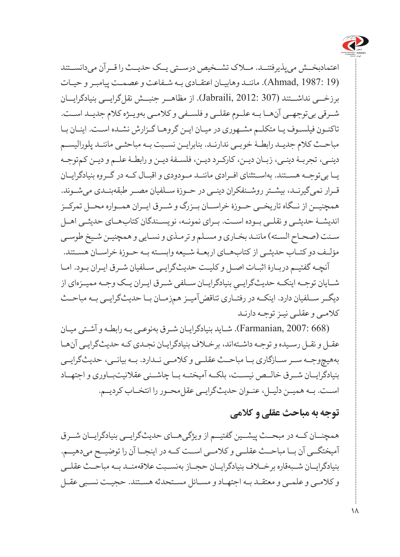

اعتمادبخــش میپذیرفتنــد. مــاک تشــخیص درســتی یــک حدیــث را قــرآن میدانســتند (19 1987: ,Ahmad). ماننـد وهابیـان اعتقـادی بـه شـفاعت و عصمـت پیامبـر و حیـات برزخــی نداشــتند (307 2012: ,Jabraili). از مظاهــر جنبــش نقلگرایــی بنیادگرایــان شــرقی بیتوجهــی آنهــا بــه علــوم عقلــی و فلســفی و کالمــی بهویــژه کالم جدیــد اســت. تاکنـون فیلسـوف یـا متکلـم مشـهوری در میـان ایـن گروهـا گـزارش نشـده اسـت. اینـان بـا مباحـث کالم جدیـد رابطـۀ خوبـی ندارنـد. بنابرایـن نسـبت بـه مباحثـی ماننـد پلورالیسـم دینـی، تجربـۀ دینـی، زبـان دیـن، کارکـرد دیـن، فلسـفۀ دیـن و رابطـۀ علـم و دیـن کمتوجـه یــا بیتوجــه هســتند. بهاســتثنای افــرادی ماننــد مــودودی و اقبــال کــه در گــروه بنیادگرایــان قــرار نمیگیرنــد، بیشــتر روشــنفکران دینــی در حــوزۀ ســلفیان مصــر طبقهبنــدی میشــوند. همچنیــن از نــگاه تاریخــی حــوزۀ خراســان بــزرگ و شــرق ایــران همــواره محــل تمرکــز اندیشــۀ حدیثــی و نقلــی بــوده اســت. بــرای نمونــه، نویســندگان کتابهــای حدیثــی اهــل سـنت (صحـاح السـته) ماننـد بخـاری و مسـلم و ترمـذی و نسـایی و همچنیـن شـیخ طوسـی مؤلــف دو کتــاب حدیثــی از کتابهــای اربعــۀ شــیعه وابســته بــه حــوزۀ خراســان هســتند. آنچـه گفتیـم دربـارۀ اثبـات اصـل و کلیـت حدیثگرایـی سـلفیان شـرق ایـران بـود. امـا

ِ بنیادگرایــان ســلفی شــرق ایــران یــک وجــه ممیــزهای از شــایان توجــه اینکــه حدیثگرایــی دیگــر ســلفیان دارد. اینکــه در رفتــاری تناقضآمیــز همزمــان بــا حدیثگرایــی بــه مباحــث کالمـی و عقلـی نیـز توجـه دارنـد

(668 2007: ,Farmanian). شـاید بنیادگرایـان شـرق بهنوعـی بـه رابطـه و آشـتی میـان عقـل و نقـل رسـیده و توجـه داشـتهاند، برخـاف بنیادگرایـان نجـدی کـه حدیثگرایـی آنهـا بههیچوجــه ســر ســازگاری بــا مباحــث عقلــی و کالمــی نــدارد. بــه بیانــی، حدیثگرایــی بنیادگرایــان شــرق خالــص نیســت، بلکــه آمیختــه بــا چاشــنی عقالنیتبــاوری و اجتهــاد اســت. بــه همیــن دلیــل، عنــوان حدیثگرایــی عقلمحــور را انتخــاب کردیــم.

### **توجه به مباحث عقلی و کالمی**

همچنــان کــه در مبحــث پیشــین گفتیــم از ویژگیهــای حدیثگرایــی بنیادگرایــان شــرق آمیختگــی آن بــا مباحــث عقلــی و کالمــی اســت کــه در اینجــا آن را توضیــح میدهیــم. بنیادگرایــان شــبهقاره برخــاف بنیادگرایــان حجــاز بهنســبت عالقهمنــد بــه مباحــث عقلــی و کالمـی و علمـی و معتقـد بـه اجتهـاد و مسـائل مسـتحدثه هسـتند. حجیـت نسـبی عقـل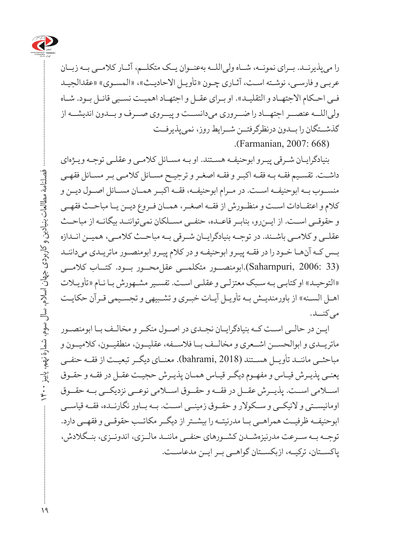

را میپذیرنــد. بــرای نمونــه، شــاه ولیاللــه بهعنــوان یــک متکلــم، آثــار کالمــی بــه زبــان عربـی و فارسـی، نوشـته اسـت، آثـاری چـون «تأویـل الاحادیـث»، «المسـوی» «عقدالجیـد فـی احـکام االجتهـاد و التقلیـد«. او بـرای عقـل و اجتهـاد اهمیـت نسـبی قائـل بـود. شـاه ولیاللــه عنصــر اجتهــاد را ضــروری میدانســت و پیــروی صــرف و بــدون اندیشــه از گذشــتگان را بــدون درنظرگرفتــن شــرایط روز، نمیپذیرفــت

(Farmanian, 2007: 668).

بنیادگرایـان شـرقی پیـرو ابوحنیفـه هسـتند. او بـه مسـائل کالمـی و عقلـی توجـه ویـژهای داشـت. تقسـیم فقـه بـه فقـه اکبـر و فقـه اصغـر و ترجیـح مسـائل کالمـی بـر مسـائل فقهـی منســوب بــه ابوحنیفــه اســت. در مــرام ابوحنیفــه، فقــه اکبــر همــان مســائل اصــول دیــن و کالم و اعتقــادات اســت و منظــورش از فقــه اصغــر، همــان فــروع دیــن یــا مباحــث فقهــی و حقوقــی اســت. از ایــنرو، بنابــر قاعــده، حنفــی مســلکان نمیتواننــد بیگانــه از مباحــث عقلــی و کالمــی باشــند. در توجــه بنیادگرایــان شــرقی بــه مباحــث کالمــی، همیــن انــدازه بـس کـه آنهـا خـود را در فقـه پیـرو ابوحنیفـه و در کالم پیـرو ابومنصـور ماتریـدی میداننـد (33 2006: ,Saharnpuri(.ابومنصــور متکلمــی عقلمحــور بــود. کتــاب کالمــی «التوحیـد» او کتابـی بـه سـبک معتزلـی و عقلـی اسـت. تفسـیر مشـهورش بـا نـام «تأویـلات اهـل السـنه« از باورمندیـش بـه تأویـل آیـات خبـری و تشـبیهی و تجسـیمی قـرآن حکایـت می کنــد.

ایــن در حالــی اســت کــه بنیادگرایــان نجــدی در اصــول منکــر و مخالـف بــا ابومنصــور ماتریــدی و ابوالحســن اشــعری و مخالــف بــا فالســفه، عقلیــون، منطقیــون، کالمیــون و مباحثــی ماننــد تأویــل هســتند (2018 ,bahrami). معنــای دیگــر تبعیــت از فقــه حنفــی یعنـی پذیـرش قیـاس و مفهـوم دیگـر قیـاس همـان پذیـرش حجیـت عقـل در فقـه و حقـوق اســامی اســت. پذیــرش عقــل در فقــه و حقــوق اســامی نوعــی نزدیکــی بــه حقــوق اومانیســتی و الئیکــی و ســکوالر و حقــوق زمینــی اســت. بــه بــاور نگارنــده، فقــه قیاســی ابوحنیفــه ظرفیــت همراهــی بــا مدرنیتــه را بیشــتر از دیگــر مکاتــب حقوقــی و فقهــی دارد. توجــه بــه ســرعت مدرنیزهشــدن کشــورهای حنفــی ماننــد مالــزی، اندونــزی، بنــگالدش، پاکســتان، ترکیــه، ازبکســتان گواهــی بــر ایــن مدعاســت.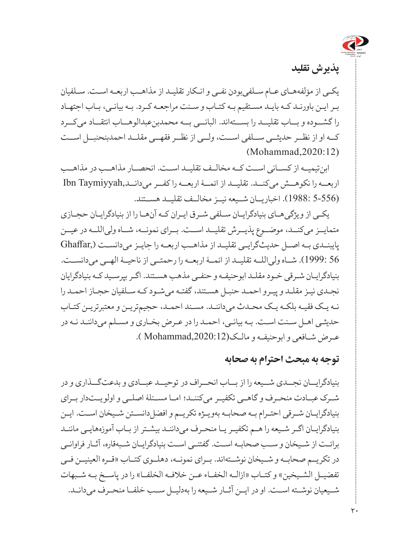

**پذیرش تقلید** 

یکـی از مؤلفههـای عـام سـلفیبودن نفـی و انـکار تقلیـد از مذاهـب اربعـه اسـت. سـلفیان بـر ایـن باورنـد کـه بایـد مسـتقیم بـه کتـاب و سـنت مراجعـه کـرد. بـه بیانـی، بـاب اجتهـاد را گشــوده و بــاب تقلیــد را بســتهاند. البانــی بــه محمدبنعبدالوهــاب انتقــاد میکــرد کــه او از نظــر حدیثــی ســلفی اســت، ولــی از نظــر فقهــی مقلــد احمدبنحنبــل اســت  $(Mohammad.2020:12)$ 

ابنتیمیــه از کســانی اســت کــه مخالــف تقلیــد اســت. انحصــار مذاهــب در مذاهــب اربعــه را نکوهــش میکنــد. تقلیــد از ائمــۀ اربعــه را کفــر میدانــد,Taymiyyah Ibn (5-556 1988:(. اخباریــان شــیعه نیــز مخالــف تقلیــد هســتند.

یکـی از ویژگیهـای بنیادگرایـان سـلفی شـرق ایـران کـه آنهـا را از بنیادگرایـان حجـازی متمایــز میکنــد، موضــوع پذیــرش تقلیــد اســت. بــرای نمونــه، شــاه ولیاللــه در عیــن پایبنــدی بــه اصــل حدیثگرایــی تقلیــد از مذاهــب اربعــه را جایــز میدانســت ),Ghaffar 56 1999:(. شــاه ولیاللــه تقلیــد از ائمــۀ اربعــه را رحمتــی از ناحیــۀ الهــی میدانســت. بنیادگرایـان شـرقی خـود مقلـد ابوحنیفـه و حنفـی مذهب هسـتند. اگـر بپرسـید کـه بنیادگرایان نجـدی نیـز مقلـد و پیـرو احمـد حنبـل هسـتند، گفتـه میشـود کـه سـلفیان حجـاز احمـد را نـه یـک فقیـه بلکـه یـک محـدث میداننـد. مسـند احمـد، حجیمتریـن و معتبرتریـن کتـاب حدیثـی اهـل سـنت اسـت. بـه بیانـی، احمـد را در عـرض بخـاری و مسـلم میداننـد نـه در عـرض شـافعی و ابوحنیفـه و مالـک(,2020:12Mohammad) .

#### **توجه به مبحث احترام به صحابه**

بنیادگرایــان نجــدی شــیعه را از بــاب انحــراف در توحیــد عبــادی و بدعتگــذاری و در شــرک عبــادت منحــرف و گاهــی تکفیــر میکننــد؛ امــا مســئلۀ اصلــی و اولویــتدار بــرای بنیادگرایـان شـرقی احتـرام بـه صحابـه بهویـژه تکریـم و افضلدانسـتن شـیخان اسـت. ایـن بنیادگرایـان اگـر شـیعه را هـم تکفیـر یـا منحـرف میداننـد بیشـتر از بـاب آموزههایـی ماننـد برائـت از شـیخان و سـب صحابـه اسـت. گفتنـی اسـت بنیادگرایـان شـبهقاره، آثـار فراوانـی در تکریــم صحابــه و شــیخان نوشــتهاند. بــرای نمونــه، دهلــوی کتــاب »قــره العینیــن فــی تفضیــل الشــیخین« و کتــاب »ازالــه الخفــاء عــن خالفــه الخلفــا« را در پاســخ بــه شــبهات شــیعیان نوشــته اســت. او در ایــن آثــار شــیعه را بهدلیــل ســب خلفــا منحــرف میدانــد.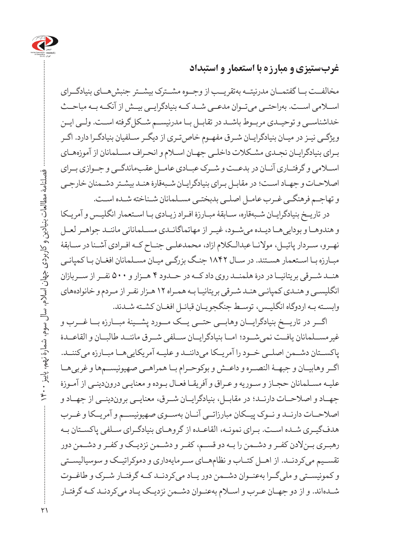

**غربستیزی و مبارزه با استعمار و استبداد**

مخالفــت بــا گفتمــان مدرنیتــه بهتقریــب از وجــوه مشــترک بیشــتر جنبشهــای بنیادگــرای اســامی اســت. بهراحتــی میتــوان مدعــی شــد کــه بنیادگرایــی بیــش از آنکــه بــه مباحــث خداشناســی و توحیــدی مربــوط باشــد در تقابــل بــا مدرنیســم شــکلگرفته اســت. ولــی ایــن ویژگـی نیـز در میـان بنیادگرایـان شـرق مفهـوم خاصتـری از دیگـر سـلفیان بنیادگـرا دارد. اگـر بـرای بنیادگرایـان نجـدی مشـکالت داخلـی جهـان اسـام و انحـراف مسـلمانان از آموزههـای اســامی و گرفتــاری آنــان در بدعــت و شــرک عبــادی عامــل عقبماندگــی و جــوازی بــرای اصالحـات و جهـاد اسـت؛ در مقابـل بـرای بنیادگرایـان شـبهقارۀ هنـد بیشـتر دشـمنان خارجـی و تهاجـم فرهنگـی غـرب عامـل اصلـی بدبختـی مسـلمانان شـناخته شـده اسـت.

در تاریـخ بنیادگرایـان شـبهقاره، سـابقۀ مبـارزۀ افـراد زیـادی بـا اسـتعمار انگلیـس و آمریـکا و هندوهـا و بوداییهـا دیـده میشـود، غیـر از مهاتماگانـدی مسـلمانانی ماننـد جواهـر لعـل نهـرو، سـردار پاتیـل، موالنـا عبدالـکالم ازاد، محمدعلـی جنـاح کـه افـرادی آشـنا در سـابقۀ مبـارزه بـا اسـتعمار هسـتند. در سـال 1842 جنـگ بزرگـی میـان مسـلمانان افغـان بـا کمپانـی هنــد شــرقی بریتانیــا در درۀ هلمنــد روی داد کــه در حــدود 4 هــزار و 500 نفــر از ســربازان انگلیسـی و هنـدی کمپانـی هنـد شـرقی بریتانیـا بـه همـراه ۱۲ هـزار نفـر از مـردم و خانوادههای وابسـته بـه اردوگاه انگلیـس، توسـط جنگجویـان قبائـل افغـان کشـته شـدند.

 اگــر در تاریــخ بنیادگرایــان وهابــی حتــی یــک مــورد پشــینۀ مبــارزه بــا غــرب و غیرمســلمانان یافــت نمیشــود؛ امــا بنیادگرایــان ســلفی شــرق ماننــد طالبــان و القاعــدۀ پاکســتان دشــمن اصلــی خــود را آمریــکا میداننــد و علیــه آمریکاییهــا مبــارزه میکننــد. اگــر وهابیــان و جبهــۀ النصــره و داعــش و بوکوحــرام بــا همراهــی صهیونیســمها و غربیهــا علیـه مسـلمانان حجـاز و سـوریه و عـراق و آفریقـا فعـال بـوده و معنایـی دروندینـی از آمـوزۀ جهــاد و اصالحــات دارنــد؛ در مقابــل، بنیادگرایــان شــرق، معنایــی بروندینــی از جهــاد و اصالحــات دارنــد و نــوک پیــکان مبارزاتــی آنــان بهســوی صهیونیســم و آمریــکا و غــرب هدفگیـری شـده اسـت. بـرای نمونـه، القاعـده از گروهـای بنیادگـرای سـلفی پاکسـتان بـه رهبـری بـنالدن کفـر و دشـمن را بـه دو قسـم، کفـر و دشـمن نزدیـک و کفـر و دشـمن دور تقســیم میکردنــد. از اهــل کتــاب و نظامهــای ســرمایهداری و دموکراتیــک و سوسیالیســتی و کمونیســتی و ملیگــرا بهعنــوان دشــمن دور یــاد میکردنــد کــه گرفتــار شــرک و طاغــوت شـدهاند. و از دو جهـان عـرب و اسـام بهعنـوان دشـمن نزدیـک یـاد میکردنـد کـه گرفتـار

فصلنامۀ مطالعات بنیادین و کاربردی جهان اسالم، سال سوم، شمارۀ نهم، پاییز 1400

فصلنامه مطالعات بنيادين و كاربردى جهان اسلام، سال سوم، شمارهٔ نهم، پاييز ۴۰۰۰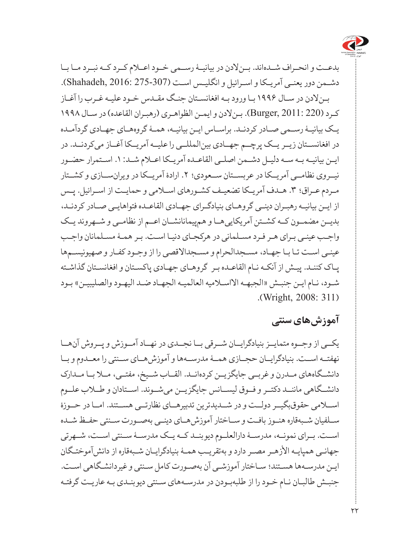

بدعــت و انحــراف شــدهاند. بــنالدن در بیانیــۀ رســمی خــود اعــام کــرد کــه نبــرد مــا بــا دشـمن دور یعنـی آمریـکا و اسـرائیل و انگلیـس اسـت )275-307 2016: ,Shahadeh). بـنالدن در سـال 1996 بـا ورود بـه افغانسـتان جنـگ مقـدس خـود علیـه غـرب را آغـاز کـرد )220 2011: ,Burger). بـنالدن و ایمـن الظواهـری )رهبـران القاعده( در سـال 1998 یـک بیانیـۀ رسـمی صـادر کردنـد. براسـاس ایـن بیانیـه، همـۀ گروههـای جهـادی گردآمـده در افغانســتان زیــر یــک پرچــم جهــادی بینالمللــی را علیــه آمریــکا آغــاز میکردنــد. در ایـن بیانیـه بـه سـه دلیـل دشـمن اصلـی القاعـده آمریـکا اعـام شـد.1: اسـتمرار حضـور نیــروی نظامــی آمریــکا در عربســتان ســعودی؛ .2 ارادۀ آمریــکا در ویرانســازی و کشــتار مـردم عـراق؛ ٣. هـدف آمریـکا تضعیـف کشـورهای اسـلامی و حمایـت از اسـرائیل. پـس از ایـن بیانیـه رهبـران دینـی گروهـای بنیادگـرای جهـادی القاعـده فتواهایـی صـادر کردنـد، بدیــن مضمــون کــه کشــتن آمریکاییهــا و همپیمانانشــان اعــم از نظامــی و شــهروند یــک واجـب عینـی بـرای هـر فـرد مسـلمانی در هرکجـای دنیـا اسـت. بـر همـۀ مسـلمانان واجـب عینـی اسـت تـا بـا جهـاد، مسـجدالحرام و مسـجداالقصی را از وجـود کفـار و صهیونیسـمها پـاک کننـد. پیـش از آنکـه نـام القاعـده بـر گروهـای جهـادی پاکسـتان و افغانسـتان گذاشـته شـود، نـام ایـن جنبـش »الجبهـه االاسـامیه العالمیـه الجهـاد ضـد الیهـود والصلیبیـن« بـود (Wright, 2008: 311).

## **آموزشهای سنتی**

یکــی از وجــوه متمایــز بنیادگرایــان شــرقی بــا نجــدی در نهــاد آمــوزش و پــروش آنهــا نهفتــه اســت. بنیادگرایــان حجــازی همــۀ مدرســهها و آموزشهــای ســنتی را معــدوم و بــا دانشــگاههای مــدرن و غربــی جایگزیــن کردهانــد. القــاب شــیخ، مفتــی، مــا بــا مــدارک دانشــگاهی ماننــد دکتــر و فــوق لیســانس جایگزیــن میشــوند. اســتادان و طــاب علــوم اســامی حقوقبگیــر دولــت و در شــدیدترین تدبیرهــای نظارتــی هســتند. امــا در حــوزۀ ســلفیان شــبهقاره هنــوز بافــت و ســاختار آموزشهــای دینــی بهصــورت ســنتی حفــظ شــده اســت. بــرای نمونــه، مدرســۀ دارالعلــوم دیوبنــد کــه یــک مدرســۀ ســنتی اســت، شــهرتی جهانـی همپایـه الأزهـر مصـر دارد و بهتقریـب همـۀ بنیادگرایـان شـبهقاره از دانش آموختـگان ایـن مدرسـهها هسـتند؛ سـاختار آموزشـی آن بهصـورت کامل سـنتی و غیردانشـگاهی اسـت. جنبـش طالبـان نـام خـود را از طلبهبـودن در مدرسـههای سـنتی دیوبنـدی بـه عاریـت گرفتـه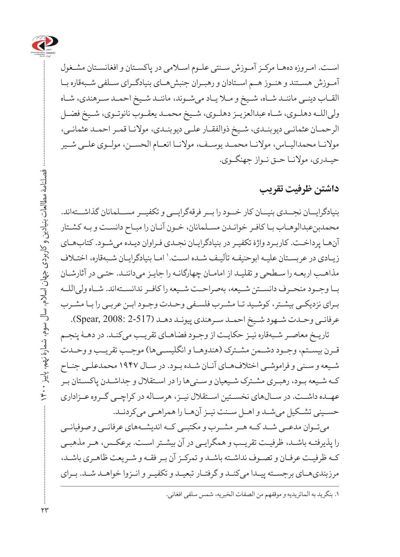

اسـت. امـروزه دههـا مرکـز آمـوزش سـنتی علـوم اسـامی در پاکسـتان و افغانسـتان مشـغول آمــوزش هســتند و هنــوز هــم اســتادان و رهبــران جنبشهــای بنیادگــرای ســلفی شــبهقاره بــا القـاب دینـی ماننـد شـاه، شـیخ و مـا یـاد میشـوند، ماننـد شـیخ احمـد سـرهندی، شـاه ولیاللــه دهلــوی، شــاه عبدالعزیــز دهلــوی، شــیخ محمــد یعقــوب نانوتــوی، شــیخ فضــل الرحمـان عثمانـی دیوبنـدی، شـیخ ذوالفقـار علـی دیوبنـدی، موالنـا قمـر احمـد عثمانـی، موالنــا محمدالیــاس، موالنــا محمــد یوســف، موالنــا انعــام الحســن، مولــوی علــی شــیر حیـدری، موالنـا حـق نـواز جهنگـوی.

## **داشتن ظرفیت تقریب**

بنیادگرایــان نجــدی بنیــان کار خــود را بــر فرقهگرایــی و تکفیــر مســلمانان گذاشــتهاند. محمدبنعبدالوهـاب بـا کافـر خوانـدن مسـلمانان، خـون آنـان را مبـاح دانسـت و بـه کشـتار آنهـا پرداخـت. کاربـرد واژۀ تکفیـر در بنیادگرایـان نجـدی فـراوان دیـده میشـود. کتابهـای زیـادی در عربسـتان علیـه ابوحنیفـه تألیـف شـده اسـت. ٰ امـا بنیادگرایـان شـبهقاره، اختـلاف مذاهـب اربعـه را سـطحی و تقلیـد از امامـان چهارگانـه را جایـز میداننـد. حتـی در آثارشـان بــا وجــود منحــرف دانســتن شــیعه، بهصراحــت شــیعه را کافــر ندانســتهاند. شــاه ولیاللــه بـرای نزدیکـی بیشـتر، کوشـید تـا مشـرب فلسـفی وحـدت وجـود ابـن عربـی را بـا مشـرب عرفانـی وحـدت شـهود شـیخ احمـد سـرهندی پیونـد دهـد )2-517 2008: ,Spear).

تاریـخ معاصـر شـبهقاره نیـز حکایـت از وجـود فضاهـای تقریـب میکنـد. در دهـۀ پنجـم قـرن بیسـتم، وجـود دشــمن مشـترک (هندوهــا و انگلیســیها) موجــب تقریــب و وحــدت شـیعه و سـنی و فراموشـی اختالفهـای آنـان شـده بـود. در سـال 1947 محمدعلـی جنـاح کـه شـیعه بـود، رهبـری مشـترک شـیعیان و سـنیها را در اسـتقالل و جداشـدن پاکسـتان بـر عهــده داشــت. در ســالهای نخســتین اســتقالل نیــز، هرســاله در کراچــی گــروه عــزاداری حســینی تشــکیل میشــد و اهــل ســنت نیــز آنهــا را همراهــی میکردنــد.

میتــوان مدعــی شــد کــه هــر مشــرب و مکتبــی کــه اندیشــههای عرفانــی و صوفیانــی را پذیرفتـه باشـد، ظرفیـت تقریـب و همگرایـی در آن بیشـتر اسـت. برعکـس، هـر مذهبـی کـه ظرفیـت عرفـان و تصـوف نداشـته باشـد و تمرکـز آن بـر فقـه و شـریعت ظاهـری باشـد، مرزبندیهــای برجســته پیــدا میکنــد و گرفتــار تبعیــد و تکفیــر و انــزوا خواهــد شــد. بــرای

.1 بنگرید به الماتریدیه و موقفهم من الصفات الخبریه، شمس سلفی افغانی.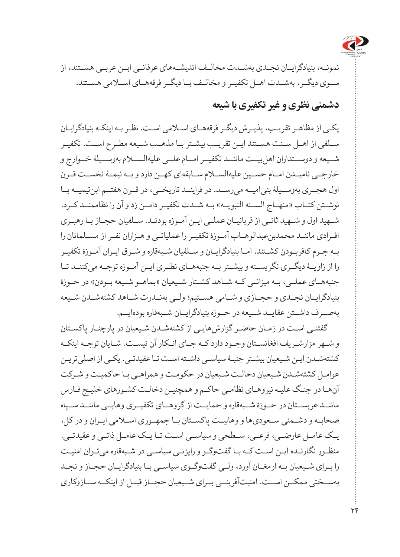

نمونــه، بنیادگرایــان نجــدی بهشــدت مخالــف اندیشــههای عرفانــی ابــن عربــی هســتند، از ســوی دیگــر، بهشــدت اهــل تکفیــر و مخالــف بــا دیگــر فرقههــای اســامی هســتند.

### **دشمنی نظری و غیر تکفیری با شیعه**

یکـی از مظاهـر تقریـب، پذیـرش دیگـر فرقههـای اسـامی اسـت. نظـر بـه اینکـه بنیادگرایـان سـلفی از اهـل سـنت هسـتند ایـن تقریـب بیشـتر بـا مذهـب شـیعه مطـرح اسـت. تکفیـر شــیعه و دوســتداران اهلبیــت ماننــد تکفیــر امــام علــی علیهالســام بهوســیلۀ خــوارج و خارجــی نامیــدن امــام حســین علیهالســام ســابقهای کهــن دارد و بــه نیمــۀ نخســت قــرن اول هجــری بهوســیلۀ بنیامیــه میرســد. در فراینــد تاریخــی، در قــرن هفتــم ابنتیمیــه بــا نوشــتن کتــاب »منهــاج الســنه النبویــه« بــه شــدت تکفیــر دامــن زد و آن را نظاممنــد کــرد. شـهید اول و شـهید ثانـی از قربانیـان عملـی ایـن آمـوزه بودنـد. سـلفیان حجـاز بـا رهبـری افـرادی ماننـد محمدبنعبدالوهـاب آمـوزۀ تکفیـر را عملیاتـی و هـزاران نفـر از مسـلمانان را بـه جـرم کافربـودن کشـتند. امـا بنیادگرایـان و سـلفیان شـبهقاره و شـرق ایـران آمـوزۀ تکفیـر را از زاویــۀ دیگــری نگریســته و بیشــتر بــه جنبههــای نظــری ایــن آمــوزه توجــه میکننــد تــا جنبههــای عملــی، بــه میزانــی کــه شــاهد کشــتار شــیعیان »بماهــو شــیعه بــودن« در حــوزۀ بنیادگرایــان نجــدی و حجــازی و شــامی هســتیم؛ ولــی بهنــدرت شــاهد کشتهشــدن شــیعه بهصــرف داشــتن عقایــد شــیعه در حــوزه بنیادگرایــان شــبهقاره بودهایــم.

 گفتنـی اسـت در زمـان حاضـر گزارشهایـی از کشتهشـدن شـیعیان در پارچنـار پاکسـتان و شـهر مزارشـریف افغانسـتان وجـود دارد کـه جـای انـکار آن نیسـت. شـایان توجـه اینکـه کشتهشـدن ایـن شـیعیان بیشـتر جنبـۀ سیاسـی داشـته اسـت تـا عقیدتـی. یکـی از اصلیتریـن عوامـل کشتهشـدن شـیعیان دخالـت شـیعیان در حکومـت و همراهـی بـا حاکمیـت و شـرکت آنهـا در جنـگ علیـه نیروهـای نظامـی حاکـم و همچنیـن دخالـت کشـورهای خلیـج فـارس ماننــد عربســتان در حــوزۀ شــبهقاره و حمایــت از گروهــای تکفیــری وهابــی ماننــد ســپاه صحابــه و دشــمنی ســعودیها و وهابیــت پاکســتان بــا جمهــوری اســامی ایــران و در کل، یــک عامــل عارضــی، فرعــی، ســطحی و سیاســی اســت تــا یــک عامــل ذاتــی و عقیدتــی. منظـور نگارنـده ایـن اسـت کـه بـا گفتوگـو و رایزنـی سیاسـی در شـبهقاره میتـوان امنیـت را بـرای شـیعیان بـه ارمغـان آورد، ولـی گفتوگـوی سیاسـی بـا بنیادگرایـان حجـاز و نجـد بهســختی ممکــن اســت. امنیتآفرینــی بــرای شــیعیان حجــاز قبــل از اینکــه ســازوکاری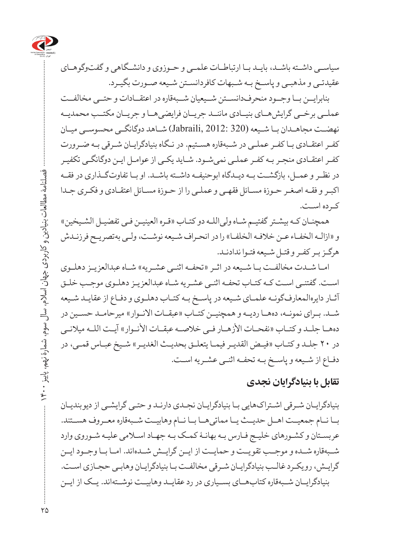

سیاسـی داشـته باشـد، بایـد بـا ارتباطـات علمـی و حـوزوی و دانشـگاهی و گفتوگوهـای عقیدتـی و مذهبـی و پاسـخ بـه شـبهات کافردانسـتن شـیعه صـورت بگیـرد.

بنابرایــن بــا وجــود منحرفدانســتن شــیعیان شــبهقاره در اعتقــادات و حتــی مخالفــت عملــی برخــی گرایشهــای بنیــادی ماننــد جریــان فرایضیهــا و جریــان مکتــب محمدیــه نهضـت مجاهـدان بـا شـیعه (320 2012: ,Jabraili )شـاهد دوگانگـی محسوسـی میـان کفـر اعتقـادی بـا کفـر عملـی در شـبهقاره هسـتیم. در نـگاه بنیادگرایـان شـرقی بـه ضـرورت کفـر اعتقـادی منجـر بـه کفـر عملـی نمیشـود. شـاید یکـی از عوامـل ایـن دوگانگـی تکفیـر در نظــر و عمــل، بازگشــت بــه دیــدگاه ابوحنیفــه داشــته باشــد. او بــا تفاوتگــذاری در فقــه اکبـر و فقـه اصغـر حـوزۀ مسـائل فقهـی و عملـی را از حـوزۀ مسـائل اعتقـادی و فکـری جـدا کـرده اسـت.

همچنـان کـه بیشـتر گفتیـم شـاه ولیاللـه دو کتـاب »قـره العینیـن فـی تفضیـل الشـیخین« و »ازالـه الخفـاء عـن خالفـه الخلفـا« را در انحـراف شـیعه نوشـت، ولـی بهتصریـح فرزنـدش هرگـز بـر کفـر و قتـل شـیعه فتـوا ندادنـد.

امــا شــدت مخالفــت بــا شــیعه در اثــر »تحفــه اثنــی عشــریه« شــاه عبدالعزیــز دهلــوی اسـت. گفتنـی اسـت کـه کتـاب تحفـه اثنـی عشـریه شـاه عبدالعزیـز دهلـوی موجـب خلـق آثـار دایرهالمعارفگونـه علمـای شـیعه در پاسـخ بـه کتـاب دهلـوی و دفـاع از عقایـد شـیعه شــد. بــرای نمونــه، دههــا ردیــه و همچنیــن کتــاب »عبقــات االنــوار« میرحامــد حســین در دههـا جلــد و کتـاب «نفحـات الأزهـار فــی خلاصـه عبقــات الأنــوار» آیـت اللــه میلانــی در 20 جلـد و کتـاب »فیـض القدیـر فیمـا یتعلـق بحدیـث الغدیـر« شـیخ عبـاس قمـی، در دفـاع از شـیعه و پاسـخ بـه تحفـه اثنـی عشـریه اسـت.

### **تقابل با بنیادگرایان نجدی**

بنیادگرایـان شـرقی اشـتراکهایی بـا بنیادگرایـان نجـدی دارنـد و حتـی گرایشـی از دیوبندیـان بــا نــام جمعیــت اهــل حدیــث یــا مماتیهــا بــا نــام وهابیــت شــبهقاره معــروف هســتند. عربسـتان و کشـورهای خلیـج فـارس بـه بهانـۀ کمـک بـه جهـاد اسـامی علیـه شـوروی وارد شــبهقاره شــده و موجــب تقویــت و حمایــت از ایــن گرایــش شــدهاند. امــا بــا وجــود ایــن گرایـش، رویکـرد غالـب بنیادگرایـان شـرقی مخالفـت بـا بنیادگرایـان وهابـی حجـازی اسـت. بنیادگرایــان شــبهقاره کتابهــای بســیاری در رد عقایــد وهابیــت نوشــتهاند. یــک از ایــن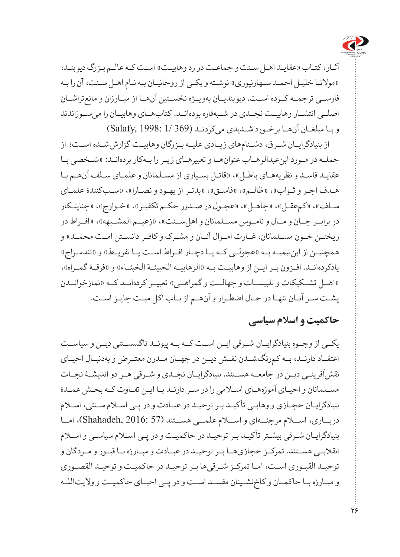

آثـار، کتـاب »عقایـد اهـل سـنت و جماعـت در رد وهابیـت« اسـت کـه عالـم بـزرگ دیوبنـد، »موالنـا خلیـل احمـد سـهارنپوری« نوشـته و یکـی از روحانیـان بـه نـام اهـل سـنت، آن را بـه فارســی ترجمــه کــرده اســت. دیوبندیــان بهویــژه نخســتین آنهــا از مبــارزان و مانعتراشــان اصلــی انتشــار وهابیــت نجــدی در شــبهقاره بودهانــد. کتابهــای وهابیــان را میســوزاندند و بـا مبلغـان آن هـا بر خـورد شـدیدی می کردنـد (369 /Salafy, 1998: 1/

از بنیادگرایــان شــرق، دشــنامهای زیــادی علیــه بــزرگان وهابیــت گزارششــده اســت؛ از جملـه در مـورد ابنعبدالوهـاب عنوانهـا و تعبیرهـای زیـر را بـهکار بردهانـد: »شـخصی بـا عقایـد فاسـد و نظریههـای باطـل«، »قاتـل بسـیاری از مسـلمانان و علمـای سـلف آنهـم بـا هـدف اجـر و ثـواب»، «ظالـم»، «فاسـق»، «بدتـر از یهـود و نصـارا»، «سـبکنندۀ علمـای سـلف»، «کم عقـل»، «جاهـل»، «عجـول در صـدور حکـم تکفيـر»، «خـوارج»، «جنايتـکار در برابــر جــان و مــال و نامــوس مســلمانان و اهلســنت«، »زعیــم المشــبهه«، »افــراط در ریختــن خــون مســلمانان، غــارت امــوال آنــان و مشــرک و کافــر دانســتن امــت محمــد« و همچنیــن از ابن تیمیــه بــه «عجولــی کــه یــا دچــار افــراط اســت یــا تفریــط» و «تندمــزاج» یادکردهانــد. افــزون بــر ایــن از وهابیــت بــه »الوهابیــه الخبیثــة الخبثــاء« و »فرقــۀ گمــراه«، »اهــل تشــکیکات و تلبیســات و جهالــت و گمراهــی« تعبیــر کردهانــد کــه »نمازخوانــدن پشـت سـر آنـان تنهـا در حـال اضطـرار و آنهـم از بـاب اکل میـت جایـز اسـت.

#### **حاکمیت و اسالم سیاسی**

یکــی از وجــوه بنیادگرایــان شــرقی ایــن اســت کــه بــه پیونــد ناگسســتنی دیــن و سیاســت اعتقــاد دارنــد، بــه کمرنگشــدن نقــش دیــن در جهــان مــدرن معتــرض و بهدنبــال احیــای نقشآفرینــی دیــن در جامعــه هســتند. بنیادگرایــان نجــدی و شــرقی هــر دو اندیشــۀ نجــات مسـلمانان و احیـای آموزههـای اسـامی را در سـر دارنـد بـا ایـن تفـاوت کـه بخـش عمـدۀ بنیادگرایـان حجـازی و وهابـی تأکیـد بـر توحیـد در عبـادت و در پـی اسـام سـنتی، اسـام دربــاری، اســام مرجئــهای و اســام علمــی هســتند )57 2016: ,Shahadeh)، امــا بنیادگرایـان شـرقی بیشـتر تأکیـد بـر توحیـد در حاکمیـت و در پـی اسـام سیاسـی و اسـام انقالبــی هســتند. تمرکــز حجازیهــا بــر توحیــد در عبــادت و مبــارزه بــا قبــور و مــردگان و توحیـد القبـوری اسـت، امـا تمرکـز شـرقیها بـر توحیـد در حاکمیـت و توحیـد القصـوری و مبــارزه بــا حاکمــان و کاخنشــینان مفســد اســت و در پــی احیــای حاکمیــت و والیتاللـه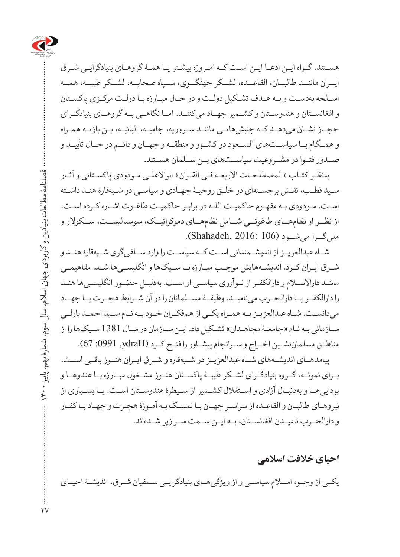

هسـتند. گـواه ایـن ادعـا ایـن اسـت کـه امـروزه بیشـتر یـا همـۀ گروهـای بنیادگرایـی شـرق ایــران ماننــد طالبــان، القاعــده، لشــکر جهنگــوی، ســپاه صحابــه، لشــکر طیبــه، همــه اسـلحه بهدسـت و بـه هـدف تشـکیل دولـت و در حـال مبـارزه بـا دولـت مرکـزی پاکسـتان و افغانســتان و هندوســتان و کشــمیر جهــاد میکننــد. امــا نگاهــی بــه گروهــای بنیادگــرای حجـاز نشـان میدهـد کـه جنبشهایـی ماننـد سـروریه، جامیـه، البانیـه، بـن بازیـه همـراه و همــگام بــا سیاســتهای آلســعود در کشــور و منطقــه و جهــان و دائــم در حــال تأییــد و صــدور فتــوا در مشــروعیت سیاســتهای بــن ســلمان هســتند.

بهنظـر کتـاب »المصطلحـات االربعـه فـی القـران« ابواالعلـی مـودودی پاکسـتانی و آثـار سـید قطـب، نقـش برجسـتهای در خلـق روحیـۀ جهـادی و سیاسـی در شـبهقارۀ هنـد داشـته اسـت. مـودودی بـه مفهـوم حاکمیـت اللـه در برابـر حاکمیـت طاغـوت اشـاره کـرده اسـت. از نظــر او نظامهــای طاغوتــی شــامل نظامهــای دموکراتیــک، سوسیالیســت، ســکوالر و ملیگــرا میشــود )106 2016: ,Shahadeh).

شــاه عبدالعزیــز از اندیشــمندانی اســت کــه سیاســت را وارد ســلفیگری شــبهقارۀ هنــد و شــرق ایــران کــرد. اندیشــههایش موجــب مبــارزه بــا ســیکها و انگلیســیها شــد. مفاهیمــی ماننـد داراالسـام و دارالکفـر از نـوآوری سیاسـی او اسـت. بهدلیـل حضـور انگلیسـیها هنـد را دارالکفــر یــا دارالحــرب مینامیــد. وظیفــۀ مســلمانان را در آن شــرایط هجــرت یــا جهــاد میدانسـت. شـاه عبدالعزیـز بـه همـراه یکـی از همفکـران خـود بـه نـام سـید احمـد بارلـی سـازمانی بـه نـام »جامعـۀ مجاهـدان« تشـکیل داد. ایـن سـازمان در سـال 1381 سـیکها را از مناطــق مسلماننشــین اخــراج و ســرانجام پیشــاور را فتــح کــرد )ydraH, :0991 67).

پیامدهــای اندیشــههای شــاه عبدالعزیــز در شــبهقاره و شــرق ایــران هنــوز باقــی اســت. بــرای نمونــه، گــروه بنیادگــرای لشــکر طیبــۀ پاکســتان هنــوز مشــغول مبــارزه بــا هندوهــا و بوداییهــا و بهدنبــال آزادی و اســتقالل کشــمیر از ســیطرۀ هندوســتان اســت. یــا بســیاری از نیروهـای طالبـان و القاعـده از سراسـر جهـان بـا تمسـک بـه آمـوزۀ هجـرت و جهـاد بـا کفـار و دارالحــرب نامیــدن افغانســتان، بــه ایــن ســمت ســرازیر شــدهاند.

#### **احیای خالفت اسالمی**

یکـی از وجـوه اسـام سیاسـی و از ویژگیهـای بنیادگرایـی سـلفیان شـرق، اندیشـۀ احیـای

 فصلنامۀ مطالعات بنیادین و کاربردی جهان اسالم، سال سوم، شمارۀ نهم، پاییز 1400 فصلنامه مطالعات بنيادين و كاربردى جهان اسلام، سال سوم، شمارة نهم، پاييز  $\Upsilon$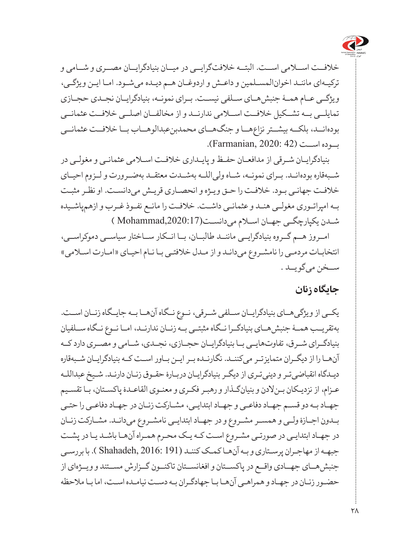

خالفــت اســامی اســت. البتــه خالفتگرایــی در میــان بنیادگرایــان مصــری و شــامی و ترکیـهای ماننـد اخوانالمسـلمین و داعـش و اردوغـان هـم دیـده میشـود. امـا ایـن ویژگـی، ویژگــی عــام همــۀ جنبشهــای ســلفی نیســت. بــرای نمونــه، بنیادگرایــان نجــدی حجــازی تمایلــی بــه تشــکیل خالفــت اســامی ندارنــد و از مخالفــان اصلــی خالفــت عثمانــی بودهانــد، بلکــه بیشــتر نزاعهــا و جنگهــای محمدبنعبدالوهــاب بــا خالفــت عثمانــی بــوده اســت )42 2020: ,Farmanian).

بنیادگرایـان شـرقی از مدافعـان حفـظ و پایـداری خالفـت اسـامی عثمانـی و مغولـی در شــبهقاره بودهانــد. بــرای نمونــه، شــاه ولیاللــه بهشــدت معتقــد بهضــرورت و لــزوم احیــای خالفـت جهانـی بـود. خالفـت را حـق ویـژه و انحصـاری قریـش میدانسـت. او نظـر مثبـت بـه امپراتـوری مغولـی هنـد و عثمانـی داشـت. خالفـت را مانـع نفـوذ غـرب و ازهمپاشـیده شـدن یکپارچگـی جهـان اسـام میدانسـت(,2020:17Mohammad)

امــروز هــم گــروه بنیادگرایــی ماننــد طالبــان، بــا انــکار ســاختار سیاســی دموکراســی، انتخابـات مردمـی را نامشـروع میدانـد و از مـدل خالفتـی بـا نـام احیـای »امـارت اسـامی« ســخن میگویــد .

#### **جایگاه زنان**

یکــی از ویژگیهــای بنیادگرایــان ســلفی شــرقی، نــوع نــگاه آنهــا بــه جایــگاه زنــان اســت. بهتقریــب همــۀ جنبشهــای بنیادگــرا نــگاه مثبتــی بــه زنــان ندارنــد، امــا نــوع نــگاه ســلفیان بنیادگــرای شــرق، تفاوتهایــی بــا بنیادگرایــان حجــازی، نجــدی، شــامی و مصــری دارد کــه آنهـا را از دیگـران متمایزتـر میکننـد. نگارنـده بـر ایـن بـاور اسـت کـه بنیادگرایـان شـبهقاره دیـدگاه انقباضیتـر و دینیتـری از دیگـر بنیادگرایـان دربـارۀ حقـوق زنـان دارنـد. شـیخ عبداللـه عـزام، از نزدیـکان بـنالدن و بنیانگـذار و رهبـر فکـری و معنـوی القاعـدۀ پاکسـتان، بـا تقسـیم جهـاد بـه دو قسـم جهـاد دفاعـی و جهـاد ابتدایـی، مشـارکت زنـان در جهـاد دفاعـی را حتـی بـدون اجـازۀ ولـی و همسـر مشـروع و در جهـاد ابتدایـی نامشـروع میدانـد. مشـارکت زنـان در جهـاد ابتدایـی در صورتـی مشـروع اسـت کـه یـک محـرم همـراه آنهـا باشـد یـا در پشـت جبهـه از مهاجـران پرسـتاری و بـه آنهـا کمـک کننـد (191 2016: ,Shahadeh) . با بررسـی جنبشهــای جهــادی واقــع در پاکســتان و افغانســتان تاکنــون گــزارش مســتند و ویــژهای از حضـور زنـان در جهـاد و همراهـی آنهـا بـا جهادگـران بـه دسـت نیامـده اسـت، اما بـا مالحظه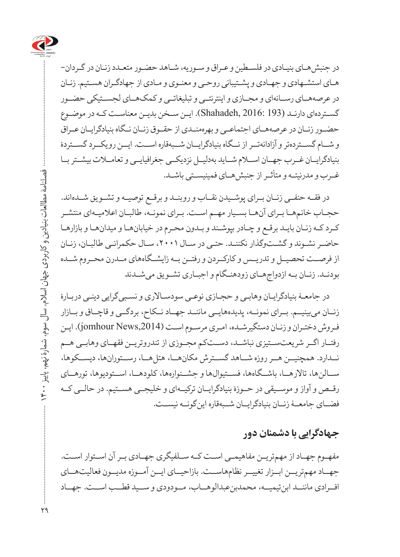

در جنبشهـای بنیـادی در فلسـطین و عـراق و سـوریه، شـاهد حضـور متعـدد زنـان در گـردان هـای استشـهادی و جهـادی و پشـتیبانی روحـی و معنـوی و مـادی از جهادگـران هسـتیم. زنـان در عرصههــای رســانهای و مجــازی و اینترنتــی و تبلیغاتــی و کمکهــای لجســتیکی حضــور گسـتردهای دارنـد (193 2016: ,Shahadeh). ایـن سـخن بدیـن معناسـت کـه در موضـوع حضــور زنــان در عرصههــای اجتماعــی و بهرهمنــدی از حقــوق زنــان نــگاه بنیادگرایــان عــراق و شــام گســتردهتر و آزادانهتــر از نــگاه بنیادگرایــان شــبهقاره اســت. ایــن رویکــرد گســتردۀ بنیادگرایــان غــرب جهــان اســام شــاید بهدلیــل نزدیکــی جغرافیایــی و تعامــات بیشــتر بــا غــرب و مدرنیتــه و متأثــر از جنبشهــای فمینیســتی باشــد.

در فقــه حنفــی زنــان بــرای پوشــیدن نقــاب و روبنــد و برقــع توصیــه و تشــویق شــدهاند. حجـاب خانمهـا بـرای آنهـا بسـیار مهـم اسـت. بـرای نمونـه، طالبـان اعالمیـهای منتشـر کـرد کـه زنـان بایـد برقـع و چـادر بپوشـند و بـدون محـرم در خیابانهـا و میدانهـا و بازارهـا حاضـر نشـوند و گشـتوگذار نکننـد. حتـی در سـال ،2001 سـال حکمرانـی طالبـان، زنـان از فرصــت تحصیــل و تدریــس و کارکــردن و رفتــن بــه زایشــگاههای مــدرن محــروم شــده بودنـد. زنـان بـه ازدواجهـای زودهنـگام و اجبـاری تشـویق میشـدند

در جامعـۀ بنیادگرایـان وهابـی و حجـازی نوعـی سودسـاالری و نسـبیگرایی دینـی دربـارۀ زنــان میبینیــم. بــرای نمونــه، پدیدههایــی ماننــد جهــاد نــکاح، بردگــی و قاچــاق و بــازار فـروش دختـران و زنـان دستگیرشـده، امـری مرسـوم اسـت ),2014News jomhour). ایـن رفتــار اگــر شریعتســتیزی نباشــد، دســتکم مجــوزی از تندروتریــن فقهــای وهابــی هــم نــدارد. همچنیــن هــر روزه شــاهد گســترش مکانهــا، هتلهــا، رســتورانها، دیســکوها، ســالنها، تاالرهــا، باشــگاهها، فســتیوالها و جشــنوارهها، کلودهــا، اســتودیوها، تورهــای رقــص و آواز و موســیقی در حــوزۀ بنیادگرایــان ترکیــهای و خلیجــی هســتیم. در حالــی کــه فضــای جامعــۀ زنــان بنیادگرایــان شــبهقاره اینگونــه نیســت.

#### **جهادگرایی با دشمنان دور**

مفهــوم جهــاد از مهمتریــن مفاهیمــی اســت کــه ســلفیگری جهــادی بــر آن اســتوار اســت. جهــاد مهمتریــن ابــزار تغییــر نظامهاســت. بازاحیــای ایــن آمــوزه مدیــون فعالیتهــای افــرادی ماننــد ابنتیمیــه، محمدبنعبدالوهــاب، مــودودی و ســید قطــب اســت. جهــاد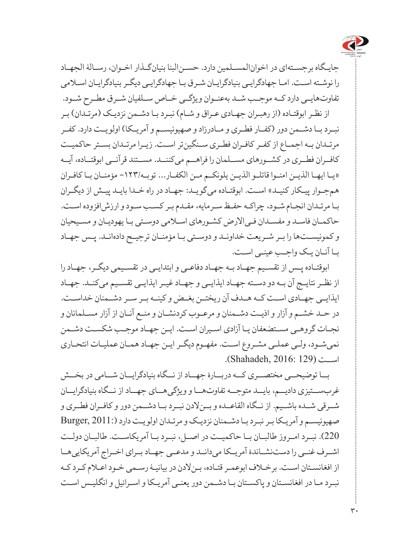

جایـگاه برجسـتهای در اخوانالمسـلمین دارد. حسـنالبنا بنیانگـذار اخـوان، رسـالۀ الجهـاد را نوشـته اسـت. امـا جهادگرایـی بنیادگرایـان شـرق بـا جهادگرایـی دیگـر بنیادگرایـان اسـامی تفاوتهایــی دارد کــه موجــب شــد بهعنــوان ویژگــی خــاص ســلفیان شــرق مطــرح شــود.

از نظـر ابوقتـاده (از رهبـران جهـادي عـراق و شـام) نبـرد بـا دشـمن نزديـک (مرتـدان) بـر نبــرد بــا دشـــمن دور (کفــار فطــری و مــادرزاد و صهیونیســم و آمریــکا) اولویــت دارد. کفــر مرتـدان بـه اجمـاع از کفـر کافـران فطـری سـنگینتر اسـت. زیـرا مرتـدان بسـتر حاکمیـت کافــران فطــری در کشــورهای مســلمان را فراهــم میکننــد. مســتند قرآنــی ابوقتــاده، آیــه »یـا ایهـا الذیـن امنـوا قاتلـو الذیـن یلونکـم مـن الکفـار... توبـه-123/ مؤمنـان بـا کافـران هم جـوار پیـکار کنیـد» اسـت. ابوقتـاده می گویـد: جهـاد در راه خـدا بایـد پیـش از دیگـران بـا مرتـدان انجـام شـود، چراکـه حفـظ سـرمایه، مقـدم بـر کسـب سـود و ارزشافزوده اسـت. حاکمـان فاسـد و مفسـدان فـیاالرض کشـورهای اسـامی دوسـتی بـا یهودیـان و مسـیحیان و کمونیسـتها را بـر شـریعت خداونـد و دوسـتی بـا مؤمنـان ترجیـح دادهانـد. پـس جهـاد بـا آنـان یـک واجـب عینـی اسـت.

ابوقتـاده پـس از تقسـیم جهـاد بـه جهـاد دفاعـی و ابتدایـی در تقسـیمی دیگـر، جهـاد را از نظــر نتایــج آن بــه دو دســته جهــاد ایذایــی و جهــاد غیــر ایذایــی تقســیم میکنــد. جهــاد ایذایــی جهــادی اســت کــه هــدف آن ریختــن بغــض و کینــه بــر ســر دشــمنان خداســت. در حـد خشـم و آزار و اذیـت دشـمنان و مرعـوب کردنشـان و منـع آنـان از آزار مسـلمانان و نجـات گروهـی مسـتضعفان یـا آزادی اسـیران اسـت. ایـن جهـاد موجـب شکسـت دشـمن نمیشـود، ولـی عملـی مشـروع اسـت. مفهـوم دیگـر ایـن جهـاد همـان عملیـات انتحـاری اســت (129 2016: ,Shahadeh).

بــا توضیحــی مختصــری کــه دربــارۀ جهــاد از نــگاه بنیادگرایــان شــامی در بخــش غربســتیزی دادیــم، بایــد متوجــه تفاوتهــا و ویژگیهــای جهــاد از نــگاه بنیادگرایــان شــرقی شــده باشــیم. از نــگاه القاعــده و بــنالدن نبــرد بــا دشــمن دور و کافــران فطــری و صهیونیسـم و آمریـکا بـر نبـرد بـا دشـمنان نزدیـک و مرتـدان اولویـت دارد )2011: ,Burger 220(. نبــرد امــروز طالبــان بــا حاکمیــت در اصــل، نبــرد بــا آمریکاســت. طالبــان دولــت اشــرف غنــی را دستنشــاندۀ آمریــکا میدانــد و مدعــی جهــاد بــرای اخــراج آمریکاییهــا از افغانسـتان اسـت. برخـاف ابوعمـر قتـاده، بـنالدن در بیانیـۀ رسـمی خـود اعـام کـرد کـه نبـرد مـا در افغانسـتان و پاکسـتان بـا دشـمن دور یعنـی آمریـکا و اسـرائیل و انگلیـس اسـت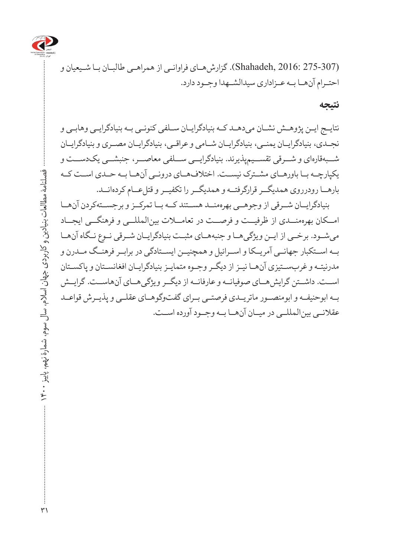

(275-307 2016: ,Shahadeh). گزارشهـای فراوانـی از همراهـی طالبـان بـا شـیعیان و احتــرام آنهــا بــه عــزاداری سیدالشــهدا وجــود دارد.

#### **نتیجه**

نتایـج ایـن پژوهـش نشـان میدهـد کـه بنیادگرایـان سـلفی کنونـی بـه بنیادگرایـی وهابـی و نجــدی، بنیادگرایــان یمنــی، بنیادگرایــان شــامی و عراقــی، بنیادگرایــان مصــری و بنیادگرایــان شــبهقارهای و شــرقی تقســیمپذیرند. بنیادگرایــی ســلفی معاصــر، جنبشــی یکدســت و یکپارچــه بــا باورهــای مشــترک نیســت. اختالفهــای درونــی آنهــا بــه حــدی اســت کــه بارهــا رودرروی همدیگــر قرارگرفتــه و همدیگــر را تکفیــر و قتلعــام کردهانــد.

بنیادگرایــان شــرقی از وجوهــی بهرهمنــد هســتند کــه بــا تمرکــز و برجســتهکردن آنهــا امــکان بهرهمنــدی از ظرفیــت و فرصــت در تعامــات بینالمللــی و فرهنگــی ایجــاد میشــود. برخــی از ایــن ویژگیهــا و جنبههــای مثبــت بنیادگرایــان شــرقی نــوع نــگاه آنهــا بــه اســتکبار جهانــی آمریــکا و اســرائیل و همچنیــن ایســتادگی در برابــر فرهنــگ مــدرن و مدرنیتـه و غربسـتیزی آنهـا نیـز از دیگـر وجـوه متمایـز بنیادگرایـان افغانسـتان و پاکسـتان اســت. داشــتن گرایشهــای صوفیانــه و عارفانــه از دیگــر ویژگیهــای آنهاســت. گرایــش بــه ابوحنیفــه و ابومنصــور ماتریــدی فرصتــی بــرای گفتوگوهــای عقلــی و پذیــرش قواعــد عقالنــی بینالمللــی در میــان آنهــا بــه وجــود آورده اســت.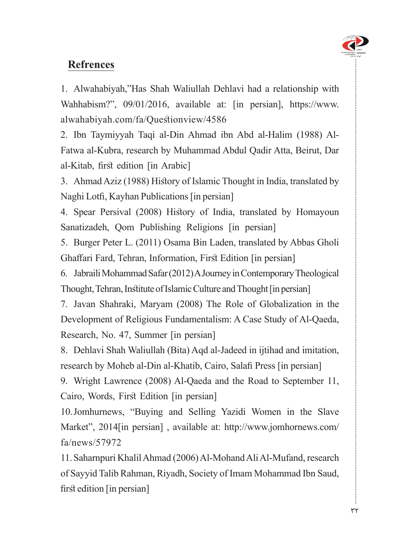

### **Refrences**

1. Alwahabiyah, "Has Shah Waliullah Dehlavi had a relationship with Wahhabism?", 09/01/2016, available at: [in persian], https://www. alwahabiyah.com/fa/Questionview/4586

Fatwa al-Kubra, research by Muhammad Abdul Qadir Atta, Beirut, Dar 2. Ibn Taymiyyah Taqi al-Din Ahmad ibn Abd al-Halim (1988) Alal-Kitab, first edition [in Arabic]

3. Ahmad Aziz (1988) History of Islamic Thought in India, translated by Naghi Lotfi, Kayhan Publications [in persian]

4. Spear Persival (2008) History of India, translated by Homayoun Sanatizadeh, Qom Publishing Religions [in persian]

5. Burger Peter L. (2011) Osama Bin Laden, translated by Abbas Gholi Ghaffari Fard, Tehran, Information, First Edition [in persian]

6. Jabraili Mohammad Safar (2012) A Journey in Contemporary Theological Thought, Tehran, Institute of Islamic Culture and Thought [in persian]

7. Javan Shahraki, Maryam (2008) The Role of Globalization in the Development of Religious Fundamentalism: A Case Study of Al-Qaeda, Research, No. 47, Summer [in persian]

8. Dehlavi Shah Waliullah (Bita) Aqd al-Jadeed in ijtihad and imitation, research by Moheb al-Din al-Khatib, Cairo, Salafi Press [in persian]

9. Wright Lawrence (2008) Al-Qaeda and the Road to September 11, Cairo, Words, First Edition [in persian]

10. Jomhurnews, "Buying and Selling Yazidi Women in the Slave Market", 2014 [in persian], available at: http://www.jomhornews.com/  $fa/news/57972$ 

11. Saharnpuri Khalil Ahmad (2006) Al-Mohand Ali Al-Mufand, research of Sayyid Talib Rahman, Riyadh, Society of Imam Mohammad Ibn Saud,  $first$  edition  $\lceil$  in persian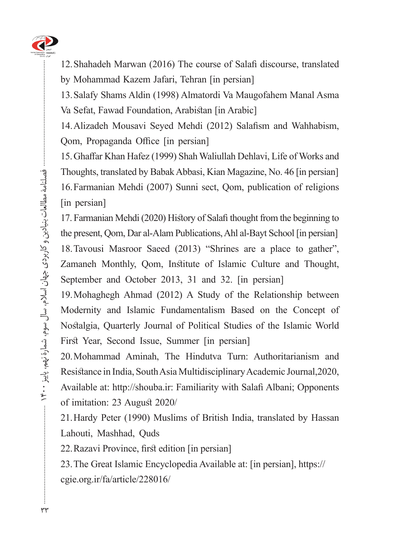

12. Shahadeh Marwan (2016) The course of Salafi discourse, translated by Mohammad Kazem Jafari, Tehran [in persian]

13. Salafy Shams Aldin (1998) Almatordi Va Maugofahem Manal Asma Va Sefat, Fawad Foundation, Arabistan [in Arabic]

14. Alizadeh Mousavi Seyed Mehdi (2012) Salafism and Wahhabism, Qom, Propaganda Office [in persian]

15. Ghaffar Khan Hafez (1999) Shah Waliullah Dehlavi, Life of Works and Thoughts, translated by Babak Abbasi, Kian Magazine, No. 46 [in persian] 16. Farmanian Mehdi (2007) Sunni sect, Oom, publication of religions [in persian]

17. Farmanian Mehdi (2020) History of Salafi thought from the beginning to the present, Oom, Dar al-Alam Publications, Ahl al-Bayt School [in persian] 18. Tavousi Masroor Saeed (2013) "Shrines are a place to gather", Zamaneh Monthly, Qom, Institute of Islamic Culture and Thought, September and October 2013, 31 and 32. [in persian]

19. Mohaghegh Ahmad (2012) A Study of the Relationship between Modernity and Islamic Fundamentalism Based on the Concept of Nostalgia, Quarterly Journal of Political Studies of the Islamic World First Year, Second Issue, Summer [in persian]

20. Mohammad Aminah, The Hindutva Turn: Authoritarianism and Resistance in India, South Asia Multidisciplinary Academic Journal, 2020, Available at: http://shouba.ir: Familiarity with Salafi Albani; Opponents of imitation: 23 August 2020/

21. Hardy Peter (1990) Muslims of British India, translated by Hassan Lahouti, Mashhad, Quds

22. Razavi Province, first edition [in persian]

23. The Great Islamic Encyclopedia Available at: [in persian], https:// cgie.org.ir/fa/article/228016/